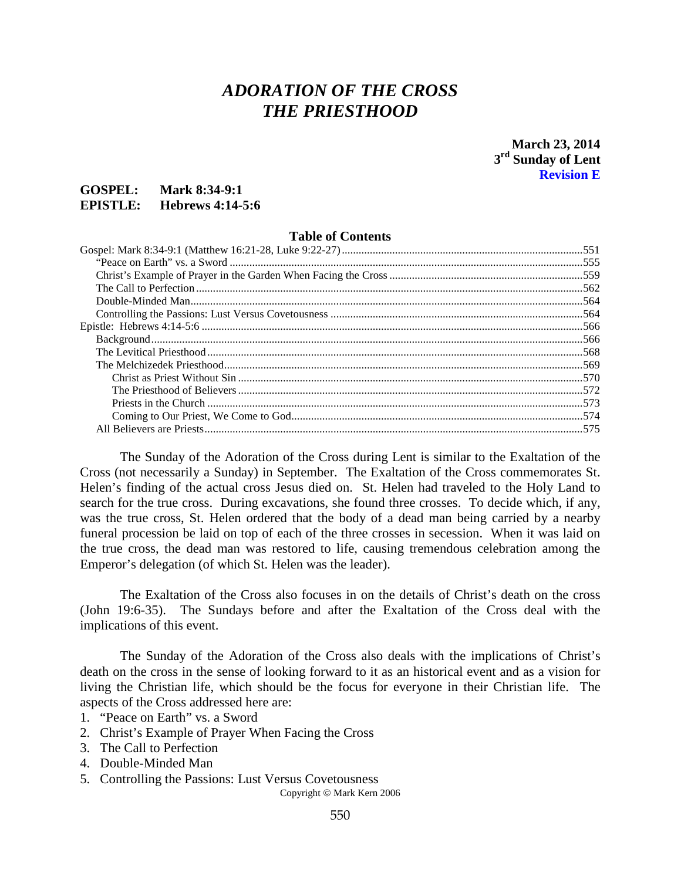# *ADORATION OF THE CROSS THE PRIESTHOOD*

**March 23, 2014 3rd Sunday of Lent Revision E**

### **GOSPEL: Mark 8:34-9:1 EPISTLE: Hebrews 4:14-5:6**

#### **Table of Contents**

The Sunday of the Adoration of the Cross during Lent is similar to the Exaltation of the Cross (not necessarily a Sunday) in September. The Exaltation of the Cross commemorates St. Helen's finding of the actual cross Jesus died on. St. Helen had traveled to the Holy Land to search for the true cross. During excavations, she found three crosses. To decide which, if any, was the true cross, St. Helen ordered that the body of a dead man being carried by a nearby funeral procession be laid on top of each of the three crosses in secession. When it was laid on the true cross, the dead man was restored to life, causing tremendous celebration among the Emperor's delegation (of which St. Helen was the leader).

The Exaltation of the Cross also focuses in on the details of Christ's death on the cross (John 19:6-35). The Sundays before and after the Exaltation of the Cross deal with the implications of this event.

The Sunday of the Adoration of the Cross also deals with the implications of Christ's death on the cross in the sense of looking forward to it as an historical event and as a vision for living the Christian life, which should be the focus for everyone in their Christian life. The aspects of the Cross addressed here are:

- 1. "Peace on Earth" vs. a Sword
- 2. Christ's Example of Prayer When Facing the Cross
- 3. The Call to Perfection
- 4. Double-Minded Man
- 5. Controlling the Passions: Lust Versus Covetousness

Copyright © Mark Kern 2006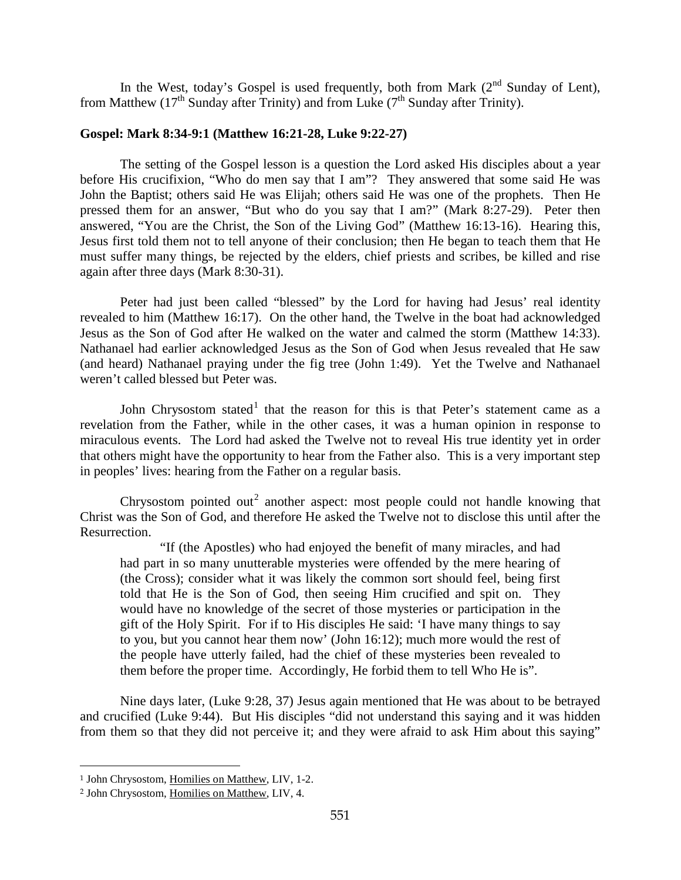In the West, today's Gospel is used frequently, both from Mark  $(2^{nd}$  Sunday of Lent), from Matthew (17<sup>th</sup> Sunday after Trinity) and from Luke ( $7<sup>th</sup>$  Sunday after Trinity).

### <span id="page-1-0"></span>**Gospel: Mark 8:34-9:1 (Matthew 16:21-28, Luke 9:22-27)**

The setting of the Gospel lesson is a question the Lord asked His disciples about a year before His crucifixion, "Who do men say that I am"? They answered that some said He was John the Baptist; others said He was Elijah; others said He was one of the prophets. Then He pressed them for an answer, "But who do you say that I am?" (Mark 8:27-29). Peter then answered, "You are the Christ, the Son of the Living God" (Matthew 16:13-16). Hearing this, Jesus first told them not to tell anyone of their conclusion; then He began to teach them that He must suffer many things, be rejected by the elders, chief priests and scribes, be killed and rise again after three days (Mark 8:30-31).

Peter had just been called "blessed" by the Lord for having had Jesus' real identity revealed to him (Matthew 16:17). On the other hand, the Twelve in the boat had acknowledged Jesus as the Son of God after He walked on the water and calmed the storm (Matthew 14:33). Nathanael had earlier acknowledged Jesus as the Son of God when Jesus revealed that He saw (and heard) Nathanael praying under the fig tree (John 1:49). Yet the Twelve and Nathanael weren't called blessed but Peter was.

John Chrysostom stated<sup>[1](#page-1-1)</sup> that the reason for this is that Peter's statement came as a revelation from the Father, while in the other cases, it was a human opinion in response to miraculous events. The Lord had asked the Twelve not to reveal His true identity yet in order that others might have the opportunity to hear from the Father also. This is a very important step in peoples' lives: hearing from the Father on a regular basis.

Chrysostom pointed out<sup>[2](#page-1-2)</sup> another aspect: most people could not handle knowing that Christ was the Son of God, and therefore He asked the Twelve not to disclose this until after the Resurrection.

"If (the Apostles) who had enjoyed the benefit of many miracles, and had had part in so many unutterable mysteries were offended by the mere hearing of (the Cross); consider what it was likely the common sort should feel, being first told that He is the Son of God, then seeing Him crucified and spit on. They would have no knowledge of the secret of those mysteries or participation in the gift of the Holy Spirit. For if to His disciples He said: 'I have many things to say to you, but you cannot hear them now' (John 16:12); much more would the rest of the people have utterly failed, had the chief of these mysteries been revealed to them before the proper time. Accordingly, He forbid them to tell Who He is".

Nine days later, (Luke 9:28, 37) Jesus again mentioned that He was about to be betrayed and crucified (Luke 9:44). But His disciples "did not understand this saying and it was hidden from them so that they did not perceive it; and they were afraid to ask Him about this saying"

<span id="page-1-1"></span><sup>1</sup> John Chrysostom, Homilies on Matthew, LIV, 1-2.

<span id="page-1-2"></span><sup>2</sup> John Chrysostom, Homilies on Matthew, LIV, 4.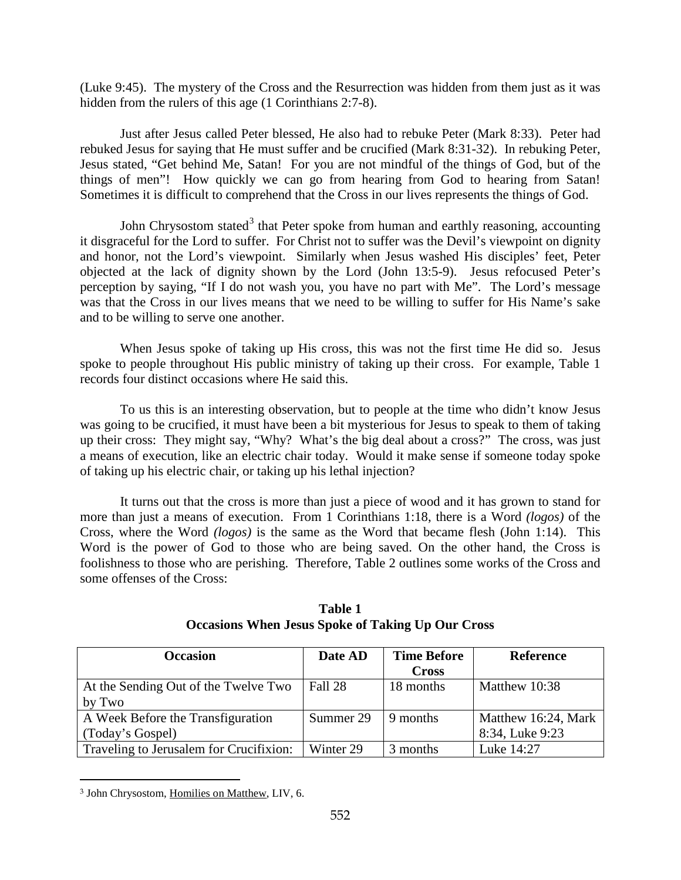(Luke 9:45). The mystery of the Cross and the Resurrection was hidden from them just as it was hidden from the rulers of this age (1 Corinthians 2:7-8).

Just after Jesus called Peter blessed, He also had to rebuke Peter (Mark 8:33). Peter had rebuked Jesus for saying that He must suffer and be crucified (Mark 8:31-32). In rebuking Peter, Jesus stated, "Get behind Me, Satan! For you are not mindful of the things of God, but of the things of men"! How quickly we can go from hearing from God to hearing from Satan! Sometimes it is difficult to comprehend that the Cross in our lives represents the things of God.

John Chrysostom stated<sup>[3](#page-2-0)</sup> that Peter spoke from human and earthly reasoning, accounting it disgraceful for the Lord to suffer. For Christ not to suffer was the Devil's viewpoint on dignity and honor, not the Lord's viewpoint. Similarly when Jesus washed His disciples' feet, Peter objected at the lack of dignity shown by the Lord (John 13:5-9). Jesus refocused Peter's perception by saying, "If I do not wash you, you have no part with Me". The Lord's message was that the Cross in our lives means that we need to be willing to suffer for His Name's sake and to be willing to serve one another.

When Jesus spoke of taking up His cross, this was not the first time He did so. Jesus spoke to people throughout His public ministry of taking up their cross. For example, Table 1 records four distinct occasions where He said this.

To us this is an interesting observation, but to people at the time who didn't know Jesus was going to be crucified, it must have been a bit mysterious for Jesus to speak to them of taking up their cross: They might say, "Why? What's the big deal about a cross?" The cross, was just a means of execution, like an electric chair today. Would it make sense if someone today spoke of taking up his electric chair, or taking up his lethal injection?

It turns out that the cross is more than just a piece of wood and it has grown to stand for more than just a means of execution. From 1 Corinthians 1:18, there is a Word *(logos)* of the Cross, where the Word *(logos)* is the same as the Word that became flesh (John 1:14). This Word is the power of God to those who are being saved. On the other hand, the Cross is foolishness to those who are perishing. Therefore, Table 2 outlines some works of the Cross and some offenses of the Cross:

| <b>Occasion</b>                         | Date AD   | <b>Time Before</b> | <b>Reference</b>    |
|-----------------------------------------|-----------|--------------------|---------------------|
|                                         |           | <b>Cross</b>       |                     |
| At the Sending Out of the Twelve Two    | Fall 28   | 18 months          | Matthew 10:38       |
| by Two                                  |           |                    |                     |
| A Week Before the Transfiguration       | Summer 29 | 9 months           | Matthew 16:24, Mark |
| (Today's Gospel)                        |           |                    | 8:34, Luke 9:23     |
| Traveling to Jerusalem for Crucifixion: | Winter 29 | 3 months           | Luke 14:27          |

**Table 1 Occasions When Jesus Spoke of Taking Up Our Cross**

<span id="page-2-0"></span><sup>3</sup> John Chrysostom, Homilies on Matthew, LIV, 6.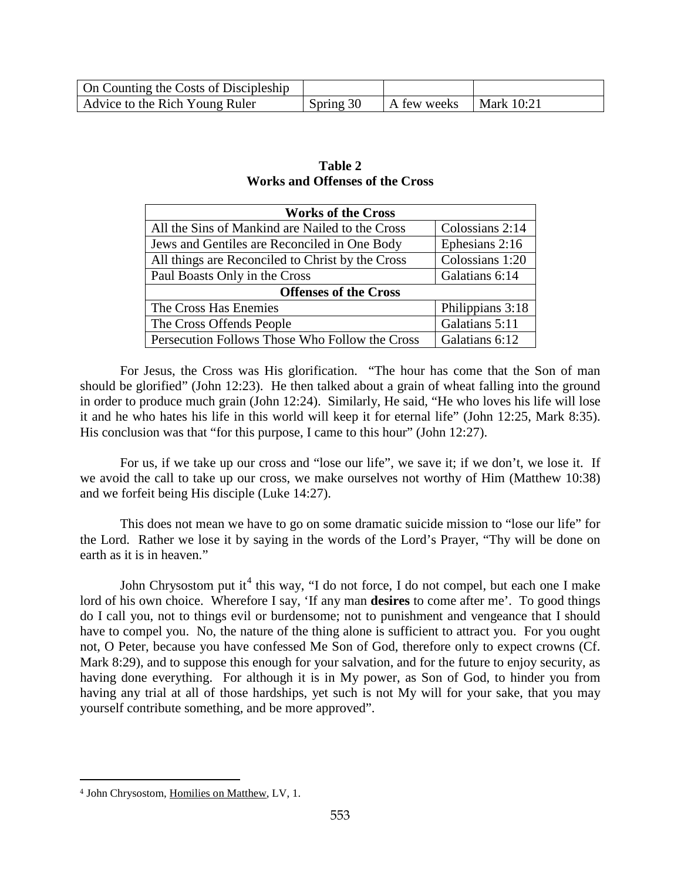| On Counting the Costs of Discipleship |           |             |            |
|---------------------------------------|-----------|-------------|------------|
| Advice to the Rich Young Ruler        | Spring 30 | A few weeks | Mark 10:21 |

| <b>Works of the Cross</b>                        |                  |  |
|--------------------------------------------------|------------------|--|
| All the Sins of Mankind are Nailed to the Cross  | Colossians 2:14  |  |
| Jews and Gentiles are Reconciled in One Body     | Ephesians 2:16   |  |
| All things are Reconciled to Christ by the Cross | Colossians 1:20  |  |
| Paul Boasts Only in the Cross                    | Galatians 6:14   |  |
| <b>Offenses of the Cross</b>                     |                  |  |
| The Cross Has Enemies                            | Philippians 3:18 |  |
| The Cross Offends People                         | Galatians 5:11   |  |
| Persecution Follows Those Who Follow the Cross   | Galatians 6:12   |  |

### **Table 2 Works and Offenses of the Cross**

For Jesus, the Cross was His glorification. "The hour has come that the Son of man should be glorified" (John 12:23). He then talked about a grain of wheat falling into the ground in order to produce much grain (John 12:24). Similarly, He said, "He who loves his life will lose it and he who hates his life in this world will keep it for eternal life" (John 12:25, Mark 8:35). His conclusion was that "for this purpose, I came to this hour" (John 12:27).

For us, if we take up our cross and "lose our life", we save it; if we don't, we lose it. If we avoid the call to take up our cross, we make ourselves not worthy of Him (Matthew 10:38) and we forfeit being His disciple (Luke 14:27).

This does not mean we have to go on some dramatic suicide mission to "lose our life" for the Lord. Rather we lose it by saying in the words of the Lord's Prayer, "Thy will be done on earth as it is in heaven."

John Chrysostom put it<sup>[4](#page-3-0)</sup> this way, "I do not force, I do not compel, but each one I make lord of his own choice. Wherefore I say, 'If any man **desires** to come after me'. To good things do I call you, not to things evil or burdensome; not to punishment and vengeance that I should have to compel you. No, the nature of the thing alone is sufficient to attract you. For you ought not, O Peter, because you have confessed Me Son of God, therefore only to expect crowns (Cf. Mark 8:29), and to suppose this enough for your salvation, and for the future to enjoy security, as having done everything. For although it is in My power, as Son of God, to hinder you from having any trial at all of those hardships, yet such is not My will for your sake, that you may yourself contribute something, and be more approved".

<span id="page-3-0"></span><sup>4</sup> John Chrysostom, Homilies on Matthew, LV, 1.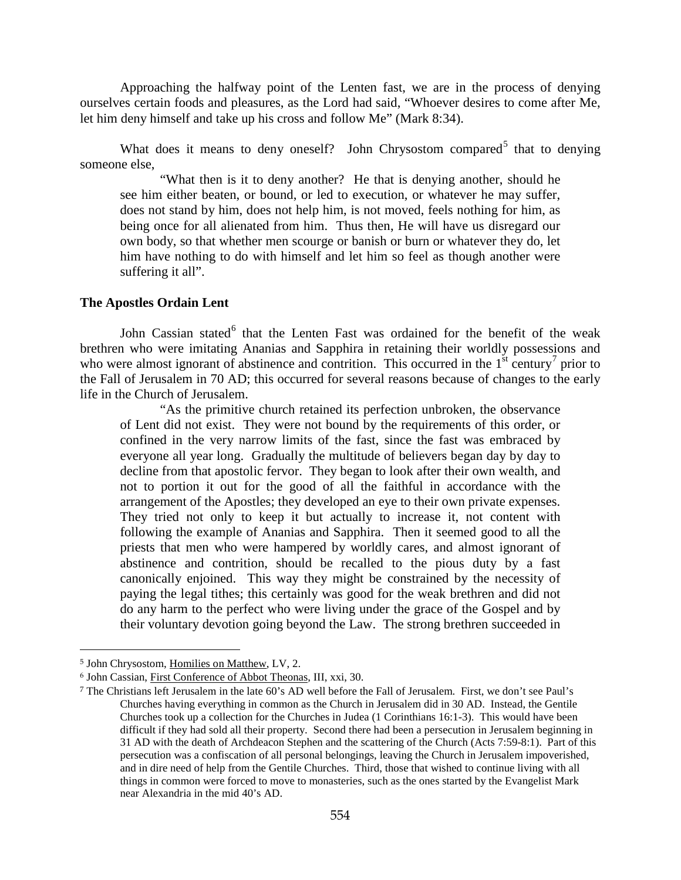Approaching the halfway point of the Lenten fast, we are in the process of denying ourselves certain foods and pleasures, as the Lord had said, "Whoever desires to come after Me, let him deny himself and take up his cross and follow Me" (Mark 8:34).

What does it means to deny oneself? John Chrysostom compared<sup>[5](#page-4-0)</sup> that to denying someone else,

"What then is it to deny another? He that is denying another, should he see him either beaten, or bound, or led to execution, or whatever he may suffer, does not stand by him, does not help him, is not moved, feels nothing for him, as being once for all alienated from him. Thus then, He will have us disregard our own body, so that whether men scourge or banish or burn or whatever they do, let him have nothing to do with himself and let him so feel as though another were suffering it all".

#### **The Apostles Ordain Lent**

John Cassian stated<sup>[6](#page-4-1)</sup> that the Lenten Fast was ordained for the benefit of the weak brethren who were imitating Ananias and Sapphira in retaining their worldly possessions and who were almost ignorant of abstinence and contrition. This occurred in the  $1<sup>st</sup>$  century<sup>[7](#page-4-2)</sup> prior to the Fall of Jerusalem in 70 AD; this occurred for several reasons because of changes to the early life in the Church of Jerusalem.

"As the primitive church retained its perfection unbroken, the observance of Lent did not exist. They were not bound by the requirements of this order, or confined in the very narrow limits of the fast, since the fast was embraced by everyone all year long. Gradually the multitude of believers began day by day to decline from that apostolic fervor. They began to look after their own wealth, and not to portion it out for the good of all the faithful in accordance with the arrangement of the Apostles; they developed an eye to their own private expenses. They tried not only to keep it but actually to increase it, not content with following the example of Ananias and Sapphira. Then it seemed good to all the priests that men who were hampered by worldly cares, and almost ignorant of abstinence and contrition, should be recalled to the pious duty by a fast canonically enjoined. This way they might be constrained by the necessity of paying the legal tithes; this certainly was good for the weak brethren and did not do any harm to the perfect who were living under the grace of the Gospel and by their voluntary devotion going beyond the Law. The strong brethren succeeded in

<span id="page-4-0"></span><sup>5</sup> John Chrysostom, Homilies on Matthew, LV, 2.

<span id="page-4-1"></span><sup>6</sup> John Cassian, First Conference of Abbot Theonas, III, xxi, 30.

<span id="page-4-2"></span><sup>7</sup> The Christians left Jerusalem in the late 60's AD well before the Fall of Jerusalem. First, we don't see Paul's Churches having everything in common as the Church in Jerusalem did in 30 AD. Instead, the Gentile Churches took up a collection for the Churches in Judea (1 Corinthians 16:1-3). This would have been difficult if they had sold all their property. Second there had been a persecution in Jerusalem beginning in 31 AD with the death of Archdeacon Stephen and the scattering of the Church (Acts 7:59-8:1). Part of this persecution was a confiscation of all personal belongings, leaving the Church in Jerusalem impoverished, and in dire need of help from the Gentile Churches. Third, those that wished to continue living with all things in common were forced to move to monasteries, such as the ones started by the Evangelist Mark near Alexandria in the mid 40's AD.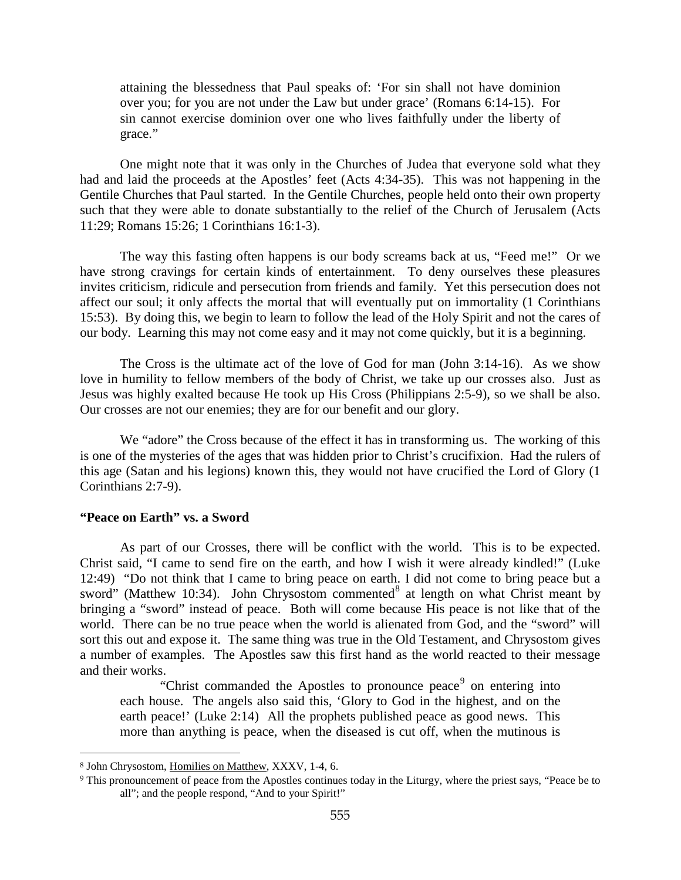attaining the blessedness that Paul speaks of: 'For sin shall not have dominion over you; for you are not under the Law but under grace' (Romans 6:14-15). For sin cannot exercise dominion over one who lives faithfully under the liberty of grace."

One might note that it was only in the Churches of Judea that everyone sold what they had and laid the proceeds at the Apostles' feet (Acts 4:34-35). This was not happening in the Gentile Churches that Paul started. In the Gentile Churches, people held onto their own property such that they were able to donate substantially to the relief of the Church of Jerusalem (Acts 11:29; Romans 15:26; 1 Corinthians 16:1-3).

The way this fasting often happens is our body screams back at us, "Feed me!" Or we have strong cravings for certain kinds of entertainment. To deny ourselves these pleasures invites criticism, ridicule and persecution from friends and family. Yet this persecution does not affect our soul; it only affects the mortal that will eventually put on immortality (1 Corinthians 15:53). By doing this, we begin to learn to follow the lead of the Holy Spirit and not the cares of our body. Learning this may not come easy and it may not come quickly, but it is a beginning.

The Cross is the ultimate act of the love of God for man (John 3:14-16). As we show love in humility to fellow members of the body of Christ, we take up our crosses also. Just as Jesus was highly exalted because He took up His Cross (Philippians 2:5-9), so we shall be also. Our crosses are not our enemies; they are for our benefit and our glory.

We "adore" the Cross because of the effect it has in transforming us. The working of this is one of the mysteries of the ages that was hidden prior to Christ's crucifixion. Had the rulers of this age (Satan and his legions) known this, they would not have crucified the Lord of Glory (1 Corinthians 2:7-9).

#### <span id="page-5-0"></span>**"Peace on Earth" vs. a Sword**

 $\overline{a}$ 

As part of our Crosses, there will be conflict with the world. This is to be expected. Christ said, "I came to send fire on the earth, and how I wish it were already kindled!" (Luke 12:49) "Do not think that I came to bring peace on earth. I did not come to bring peace but a sword" (Matthew 10:34). John Chrysostom commented<sup>[8](#page-5-1)</sup> at length on what Christ meant by bringing a "sword" instead of peace. Both will come because His peace is not like that of the world. There can be no true peace when the world is alienated from God, and the "sword" will sort this out and expose it. The same thing was true in the Old Testament, and Chrysostom gives a number of examples. The Apostles saw this first hand as the world reacted to their message and their works.

"Christ commanded the Apostles to pronounce peace<sup>[9](#page-5-2)</sup> on entering into each house. The angels also said this, 'Glory to God in the highest, and on the earth peace!' (Luke 2:14) All the prophets published peace as good news. This more than anything is peace, when the diseased is cut off, when the mutinous is

<span id="page-5-1"></span><sup>8</sup> John Chrysostom, Homilies on Matthew, XXXV, 1-4, 6.

<span id="page-5-2"></span><sup>9</sup> This pronouncement of peace from the Apostles continues today in the Liturgy, where the priest says, "Peace be to all"; and the people respond, "And to your Spirit!"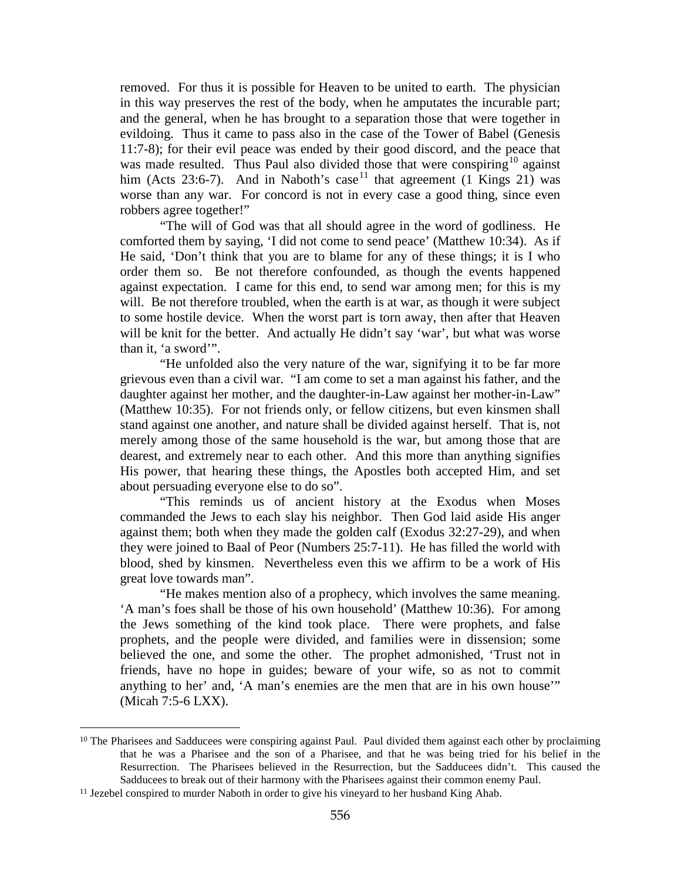removed. For thus it is possible for Heaven to be united to earth. The physician in this way preserves the rest of the body, when he amputates the incurable part; and the general, when he has brought to a separation those that were together in evildoing. Thus it came to pass also in the case of the Tower of Babel (Genesis 11:7-8); for their evil peace was ended by their good discord, and the peace that was made resulted. Thus Paul also divided those that were conspiring<sup>[10](#page-6-0)</sup> against him (Acts 23:6-7). And in Naboth's case<sup>[11](#page-6-1)</sup> that agreement (1 Kings 21) was worse than any war. For concord is not in every case a good thing, since even robbers agree together!"

"The will of God was that all should agree in the word of godliness. He comforted them by saying, 'I did not come to send peace' (Matthew 10:34). As if He said, 'Don't think that you are to blame for any of these things; it is I who order them so. Be not therefore confounded, as though the events happened against expectation. I came for this end, to send war among men; for this is my will. Be not therefore troubled, when the earth is at war, as though it were subject to some hostile device. When the worst part is torn away, then after that Heaven will be knit for the better. And actually He didn't say 'war', but what was worse than it, 'a sword'".

"He unfolded also the very nature of the war, signifying it to be far more grievous even than a civil war. "I am come to set a man against his father, and the daughter against her mother, and the daughter-in-Law against her mother-in-Law" (Matthew 10:35). For not friends only, or fellow citizens, but even kinsmen shall stand against one another, and nature shall be divided against herself. That is, not merely among those of the same household is the war, but among those that are dearest, and extremely near to each other. And this more than anything signifies His power, that hearing these things, the Apostles both accepted Him, and set about persuading everyone else to do so".

"This reminds us of ancient history at the Exodus when Moses commanded the Jews to each slay his neighbor. Then God laid aside His anger against them; both when they made the golden calf (Exodus 32:27-29), and when they were joined to Baal of Peor (Numbers 25:7-11). He has filled the world with blood, shed by kinsmen. Nevertheless even this we affirm to be a work of His great love towards man".

"He makes mention also of a prophecy, which involves the same meaning. 'A man's foes shall be those of his own household' (Matthew 10:36). For among the Jews something of the kind took place. There were prophets, and false prophets, and the people were divided, and families were in dissension; some believed the one, and some the other. The prophet admonished, 'Trust not in friends, have no hope in guides; beware of your wife, so as not to commit anything to her' and, 'A man's enemies are the men that are in his own house'" (Micah 7:5-6 LXX).

<span id="page-6-0"></span><sup>&</sup>lt;sup>10</sup> The Pharisees and Sadducees were conspiring against Paul. Paul divided them against each other by proclaiming that he was a Pharisee and the son of a Pharisee, and that he was being tried for his belief in the Resurrection. The Pharisees believed in the Resurrection, but the Sadducees didn't. This caused the Sadducees to break out of their harmony with the Pharisees against their common enemy Paul.

<span id="page-6-1"></span><sup>11</sup> Jezebel conspired to murder Naboth in order to give his vineyard to her husband King Ahab.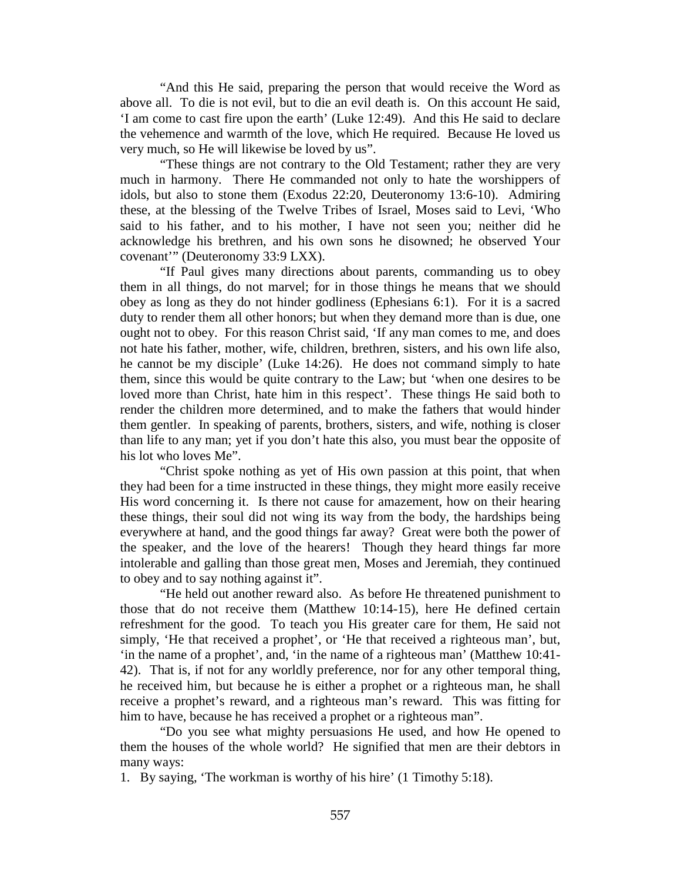"And this He said, preparing the person that would receive the Word as above all. To die is not evil, but to die an evil death is. On this account He said, 'I am come to cast fire upon the earth' (Luke 12:49). And this He said to declare the vehemence and warmth of the love, which He required. Because He loved us very much, so He will likewise be loved by us".

"These things are not contrary to the Old Testament; rather they are very much in harmony. There He commanded not only to hate the worshippers of idols, but also to stone them (Exodus 22:20, Deuteronomy 13:6-10). Admiring these, at the blessing of the Twelve Tribes of Israel, Moses said to Levi, 'Who said to his father, and to his mother, I have not seen you; neither did he acknowledge his brethren, and his own sons he disowned; he observed Your covenant'" (Deuteronomy 33:9 LXX).

"If Paul gives many directions about parents, commanding us to obey them in all things, do not marvel; for in those things he means that we should obey as long as they do not hinder godliness (Ephesians 6:1). For it is a sacred duty to render them all other honors; but when they demand more than is due, one ought not to obey. For this reason Christ said, 'If any man comes to me, and does not hate his father, mother, wife, children, brethren, sisters, and his own life also, he cannot be my disciple' (Luke 14:26). He does not command simply to hate them, since this would be quite contrary to the Law; but 'when one desires to be loved more than Christ, hate him in this respect'. These things He said both to render the children more determined, and to make the fathers that would hinder them gentler. In speaking of parents, brothers, sisters, and wife, nothing is closer than life to any man; yet if you don't hate this also, you must bear the opposite of his lot who loves Me".

"Christ spoke nothing as yet of His own passion at this point, that when they had been for a time instructed in these things, they might more easily receive His word concerning it. Is there not cause for amazement, how on their hearing these things, their soul did not wing its way from the body, the hardships being everywhere at hand, and the good things far away? Great were both the power of the speaker, and the love of the hearers! Though they heard things far more intolerable and galling than those great men, Moses and Jeremiah, they continued to obey and to say nothing against it".

"He held out another reward also. As before He threatened punishment to those that do not receive them (Matthew 10:14-15), here He defined certain refreshment for the good. To teach you His greater care for them, He said not simply, 'He that received a prophet', or 'He that received a righteous man', but, 'in the name of a prophet', and, 'in the name of a righteous man' (Matthew 10:41- 42). That is, if not for any worldly preference, nor for any other temporal thing, he received him, but because he is either a prophet or a righteous man, he shall receive a prophet's reward, and a righteous man's reward. This was fitting for him to have, because he has received a prophet or a righteous man".

"Do you see what mighty persuasions He used, and how He opened to them the houses of the whole world? He signified that men are their debtors in many ways:

1. By saying, 'The workman is worthy of his hire' (1 Timothy 5:18).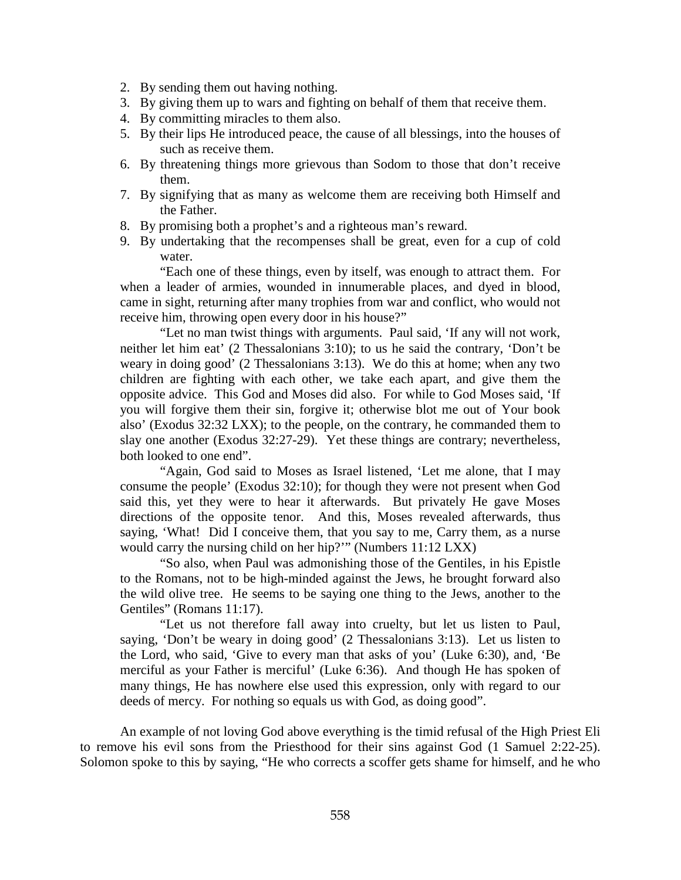- 2. By sending them out having nothing.
- 3. By giving them up to wars and fighting on behalf of them that receive them.
- 4. By committing miracles to them also.
- 5. By their lips He introduced peace, the cause of all blessings, into the houses of such as receive them.
- 6. By threatening things more grievous than Sodom to those that don't receive them.
- 7. By signifying that as many as welcome them are receiving both Himself and the Father.
- 8. By promising both a prophet's and a righteous man's reward.
- 9. By undertaking that the recompenses shall be great, even for a cup of cold water.

"Each one of these things, even by itself, was enough to attract them. For when a leader of armies, wounded in innumerable places, and dyed in blood, came in sight, returning after many trophies from war and conflict, who would not receive him, throwing open every door in his house?"

"Let no man twist things with arguments. Paul said, 'If any will not work, neither let him eat' (2 Thessalonians 3:10); to us he said the contrary, 'Don't be weary in doing good' (2 Thessalonians 3:13). We do this at home; when any two children are fighting with each other, we take each apart, and give them the opposite advice. This God and Moses did also. For while to God Moses said, 'If you will forgive them their sin, forgive it; otherwise blot me out of Your book also' (Exodus 32:32 LXX); to the people, on the contrary, he commanded them to slay one another (Exodus 32:27-29). Yet these things are contrary; nevertheless, both looked to one end".

"Again, God said to Moses as Israel listened, 'Let me alone, that I may consume the people' (Exodus 32:10); for though they were not present when God said this, yet they were to hear it afterwards. But privately He gave Moses directions of the opposite tenor. And this, Moses revealed afterwards, thus saying, 'What! Did I conceive them, that you say to me, Carry them, as a nurse would carry the nursing child on her hip?'" (Numbers 11:12 LXX)

"So also, when Paul was admonishing those of the Gentiles, in his Epistle to the Romans, not to be high-minded against the Jews, he brought forward also the wild olive tree. He seems to be saying one thing to the Jews, another to the Gentiles" (Romans 11:17).

"Let us not therefore fall away into cruelty, but let us listen to Paul, saying, 'Don't be weary in doing good' (2 Thessalonians 3:13). Let us listen to the Lord, who said, 'Give to every man that asks of you' (Luke 6:30), and, 'Be merciful as your Father is merciful' (Luke 6:36). And though He has spoken of many things, He has nowhere else used this expression, only with regard to our deeds of mercy. For nothing so equals us with God, as doing good".

An example of not loving God above everything is the timid refusal of the High Priest Eli to remove his evil sons from the Priesthood for their sins against God (1 Samuel 2:22-25). Solomon spoke to this by saying, "He who corrects a scoffer gets shame for himself, and he who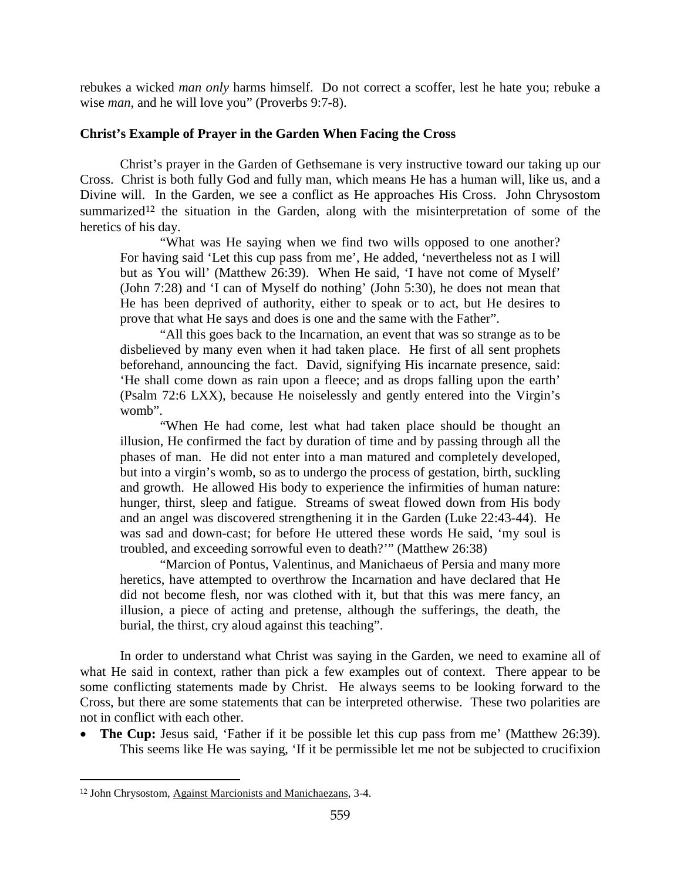rebukes a wicked *man only* harms himself. Do not correct a scoffer, lest he hate you; rebuke a wise *man,* and he will love you" (Proverbs 9:7-8).

### <span id="page-9-0"></span>**Christ's Example of Prayer in the Garden When Facing the Cross**

Christ's prayer in the Garden of Gethsemane is very instructive toward our taking up our Cross. Christ is both fully God and fully man, which means He has a human will, like us, and a Divine will. In the Garden, we see a conflict as He approaches His Cross. John Chrysostom summarized<sup>[12](#page-9-1)</sup> the situation in the Garden, along with the misinterpretation of some of the heretics of his day.

"What was He saying when we find two wills opposed to one another? For having said 'Let this cup pass from me', He added, 'nevertheless not as I will but as You will' (Matthew 26:39). When He said, 'I have not come of Myself' (John 7:28) and 'I can of Myself do nothing' (John 5:30), he does not mean that He has been deprived of authority, either to speak or to act, but He desires to prove that what He says and does is one and the same with the Father".

"All this goes back to the Incarnation, an event that was so strange as to be disbelieved by many even when it had taken place. He first of all sent prophets beforehand, announcing the fact. David, signifying His incarnate presence, said: 'He shall come down as rain upon a fleece; and as drops falling upon the earth' (Psalm 72:6 LXX), because He noiselessly and gently entered into the Virgin's womb".

"When He had come, lest what had taken place should be thought an illusion, He confirmed the fact by duration of time and by passing through all the phases of man. He did not enter into a man matured and completely developed, but into a virgin's womb, so as to undergo the process of gestation, birth, suckling and growth. He allowed His body to experience the infirmities of human nature: hunger, thirst, sleep and fatigue. Streams of sweat flowed down from His body and an angel was discovered strengthening it in the Garden (Luke 22:43-44). He was sad and down-cast; for before He uttered these words He said, 'my soul is troubled, and exceeding sorrowful even to death?'" (Matthew 26:38)

"Marcion of Pontus, Valentinus, and Manichaeus of Persia and many more heretics, have attempted to overthrow the Incarnation and have declared that He did not become flesh, nor was clothed with it, but that this was mere fancy, an illusion, a piece of acting and pretense, although the sufferings, the death, the burial, the thirst, cry aloud against this teaching".

In order to understand what Christ was saying in the Garden, we need to examine all of what He said in context, rather than pick a few examples out of context. There appear to be some conflicting statements made by Christ. He always seems to be looking forward to the Cross, but there are some statements that can be interpreted otherwise. These two polarities are not in conflict with each other.

• **The Cup:** Jesus said, 'Father if it be possible let this cup pass from me' (Matthew 26:39). This seems like He was saying, 'If it be permissible let me not be subjected to crucifixion

<span id="page-9-1"></span> $\overline{a}$ <sup>12</sup> John Chrysostom, Against Marcionists and Manichaezans, 3-4.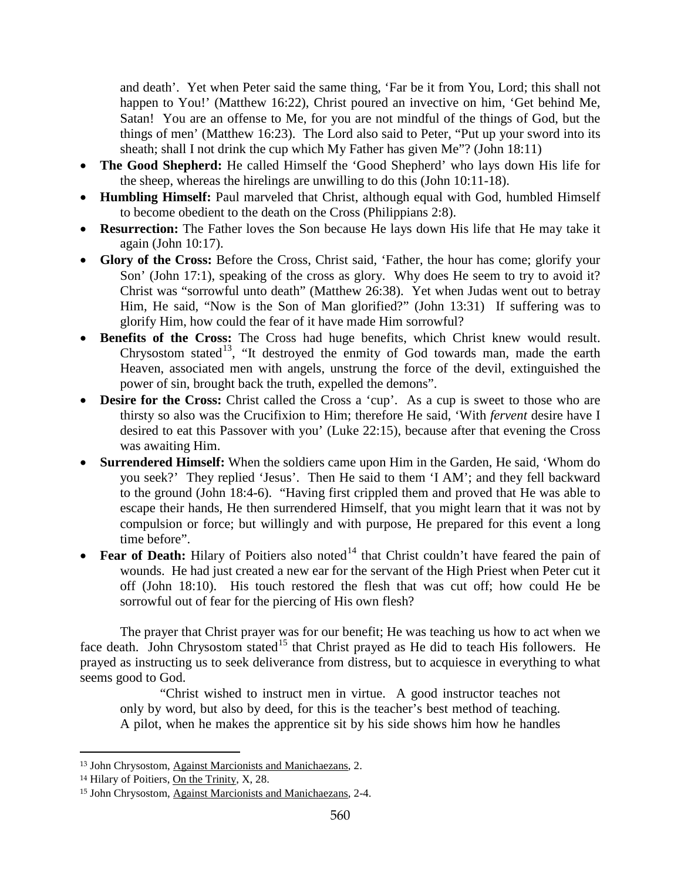and death'. Yet when Peter said the same thing, 'Far be it from You, Lord; this shall not happen to You!' (Matthew 16:22), Christ poured an invective on him, 'Get behind Me, Satan! You are an offense to Me, for you are not mindful of the things of God, but the things of men' (Matthew 16:23). The Lord also said to Peter, "Put up your sword into its sheath; shall I not drink the cup which My Father has given Me"? (John 18:11)

- **The Good Shepherd:** He called Himself the 'Good Shepherd' who lays down His life for the sheep, whereas the hirelings are unwilling to do this (John 10:11-18).
- **Humbling Himself:** Paul marveled that Christ, although equal with God, humbled Himself to become obedient to the death on the Cross (Philippians 2:8).
- **Resurrection:** The Father loves the Son because He lays down His life that He may take it again (John 10:17).
- **Glory of the Cross:** Before the Cross, Christ said, 'Father, the hour has come; glorify your Son' (John 17:1), speaking of the cross as glory. Why does He seem to try to avoid it? Christ was "sorrowful unto death" (Matthew 26:38). Yet when Judas went out to betray Him, He said, "Now is the Son of Man glorified?" (John 13:31) If suffering was to glorify Him, how could the fear of it have made Him sorrowful?
- **Benefits of the Cross:** The Cross had huge benefits, which Christ knew would result. Chrysostom stated<sup>13</sup>, "It destroyed the enmity of God towards man, made the earth Heaven, associated men with angels, unstrung the force of the devil, extinguished the power of sin, brought back the truth, expelled the demons".
- **Desire for the Cross:** Christ called the Cross a 'cup'. As a cup is sweet to those who are thirsty so also was the Crucifixion to Him; therefore He said, 'With *fervent* desire have I desired to eat this Passover with you' (Luke 22:15), because after that evening the Cross was awaiting Him.
- **Surrendered Himself:** When the soldiers came upon Him in the Garden, He said, 'Whom do you seek?' They replied 'Jesus'. Then He said to them 'I AM'; and they fell backward to the ground (John 18:4-6). "Having first crippled them and proved that He was able to escape their hands, He then surrendered Himself, that you might learn that it was not by compulsion or force; but willingly and with purpose, He prepared for this event a long time before".
- **Fear of Death:** Hilary of Poitiers also noted<sup>[14](#page-10-1)</sup> that Christ couldn't have feared the pain of wounds. He had just created a new ear for the servant of the High Priest when Peter cut it off (John 18:10). His touch restored the flesh that was cut off; how could He be sorrowful out of fear for the piercing of His own flesh?

The prayer that Christ prayer was for our benefit; He was teaching us how to act when we face death. John Chrysostom stated<sup>[15](#page-10-2)</sup> that Christ prayed as He did to teach His followers. He prayed as instructing us to seek deliverance from distress, but to acquiesce in everything to what seems good to God.

"Christ wished to instruct men in virtue. A good instructor teaches not only by word, but also by deed, for this is the teacher's best method of teaching. A pilot, when he makes the apprentice sit by his side shows him how he handles

<span id="page-10-0"></span><sup>13</sup> John Chrysostom, Against Marcionists and Manichaezans, 2.

<span id="page-10-1"></span><sup>14</sup> Hilary of Poitiers, On the Trinity, X, 28.

<span id="page-10-2"></span><sup>15</sup> John Chrysostom, Against Marcionists and Manichaezans, 2-4.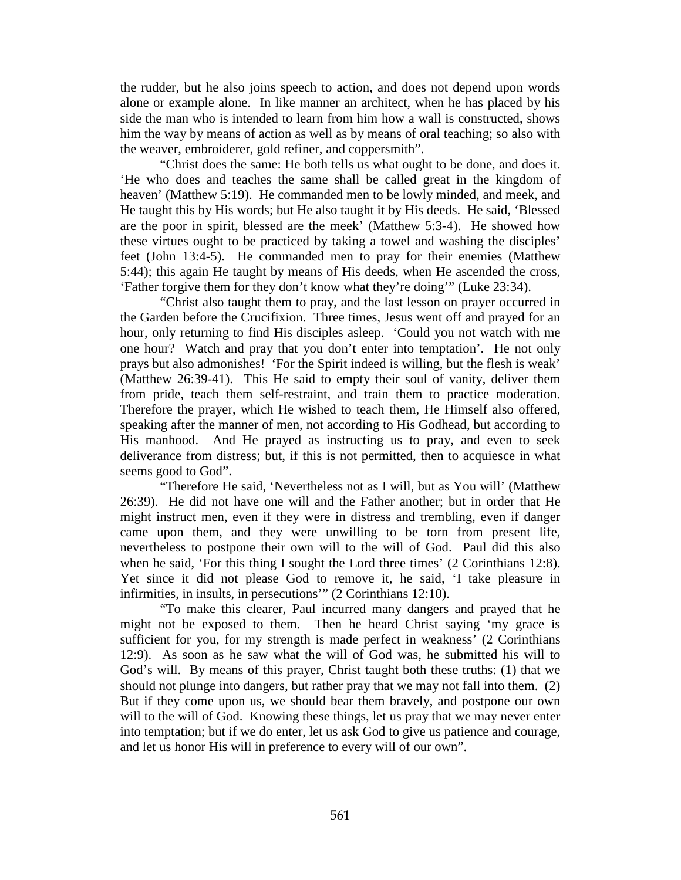the rudder, but he also joins speech to action, and does not depend upon words alone or example alone. In like manner an architect, when he has placed by his side the man who is intended to learn from him how a wall is constructed, shows him the way by means of action as well as by means of oral teaching; so also with the weaver, embroiderer, gold refiner, and coppersmith".

"Christ does the same: He both tells us what ought to be done, and does it. 'He who does and teaches the same shall be called great in the kingdom of heaven' (Matthew 5:19). He commanded men to be lowly minded, and meek, and He taught this by His words; but He also taught it by His deeds. He said, 'Blessed are the poor in spirit, blessed are the meek' (Matthew 5:3-4). He showed how these virtues ought to be practiced by taking a towel and washing the disciples' feet (John 13:4-5). He commanded men to pray for their enemies (Matthew 5:44); this again He taught by means of His deeds, when He ascended the cross, 'Father forgive them for they don't know what they're doing'" (Luke 23:34).

"Christ also taught them to pray, and the last lesson on prayer occurred in the Garden before the Crucifixion. Three times, Jesus went off and prayed for an hour, only returning to find His disciples asleep. 'Could you not watch with me one hour? Watch and pray that you don't enter into temptation'. He not only prays but also admonishes! 'For the Spirit indeed is willing, but the flesh is weak' (Matthew 26:39-41). This He said to empty their soul of vanity, deliver them from pride, teach them self-restraint, and train them to practice moderation. Therefore the prayer, which He wished to teach them, He Himself also offered, speaking after the manner of men, not according to His Godhead, but according to His manhood. And He prayed as instructing us to pray, and even to seek deliverance from distress; but, if this is not permitted, then to acquiesce in what seems good to God".

"Therefore He said, 'Nevertheless not as I will, but as You will' (Matthew 26:39). He did not have one will and the Father another; but in order that He might instruct men, even if they were in distress and trembling, even if danger came upon them, and they were unwilling to be torn from present life, nevertheless to postpone their own will to the will of God. Paul did this also when he said, 'For this thing I sought the Lord three times' (2 Corinthians 12:8). Yet since it did not please God to remove it, he said, 'I take pleasure in infirmities, in insults, in persecutions'" (2 Corinthians 12:10).

"To make this clearer, Paul incurred many dangers and prayed that he might not be exposed to them. Then he heard Christ saying 'my grace is sufficient for you, for my strength is made perfect in weakness' (2 Corinthians 12:9). As soon as he saw what the will of God was, he submitted his will to God's will. By means of this prayer, Christ taught both these truths: (1) that we should not plunge into dangers, but rather pray that we may not fall into them. (2) But if they come upon us, we should bear them bravely, and postpone our own will to the will of God. Knowing these things, let us pray that we may never enter into temptation; but if we do enter, let us ask God to give us patience and courage, and let us honor His will in preference to every will of our own".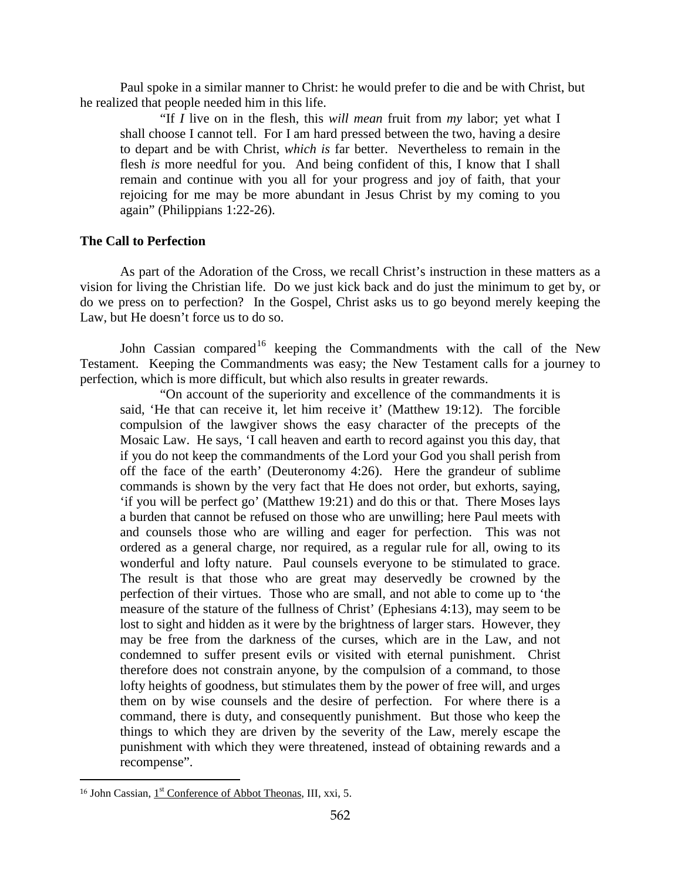Paul spoke in a similar manner to Christ: he would prefer to die and be with Christ, but he realized that people needed him in this life.

"If *I* live on in the flesh, this *will mean* fruit from *my* labor; yet what I shall choose I cannot tell. For I am hard pressed between the two, having a desire to depart and be with Christ, *which is* far better. Nevertheless to remain in the flesh *is* more needful for you. And being confident of this, I know that I shall remain and continue with you all for your progress and joy of faith, that your rejoicing for me may be more abundant in Jesus Christ by my coming to you again" (Philippians 1:22-26).

### <span id="page-12-0"></span>**The Call to Perfection**

As part of the Adoration of the Cross, we recall Christ's instruction in these matters as a vision for living the Christian life. Do we just kick back and do just the minimum to get by, or do we press on to perfection? In the Gospel, Christ asks us to go beyond merely keeping the Law, but He doesn't force us to do so.

John Cassian compared<sup>[16](#page-12-1)</sup> keeping the Commandments with the call of the New Testament. Keeping the Commandments was easy; the New Testament calls for a journey to perfection, which is more difficult, but which also results in greater rewards.

"On account of the superiority and excellence of the commandments it is said, 'He that can receive it, let him receive it' (Matthew 19:12). The forcible compulsion of the lawgiver shows the easy character of the precepts of the Mosaic Law. He says, 'I call heaven and earth to record against you this day, that if you do not keep the commandments of the Lord your God you shall perish from off the face of the earth' (Deuteronomy 4:26). Here the grandeur of sublime commands is shown by the very fact that He does not order, but exhorts, saying, 'if you will be perfect go' (Matthew 19:21) and do this or that. There Moses lays a burden that cannot be refused on those who are unwilling; here Paul meets with and counsels those who are willing and eager for perfection. This was not ordered as a general charge, nor required, as a regular rule for all, owing to its wonderful and lofty nature. Paul counsels everyone to be stimulated to grace. The result is that those who are great may deservedly be crowned by the perfection of their virtues. Those who are small, and not able to come up to 'the measure of the stature of the fullness of Christ' (Ephesians 4:13), may seem to be lost to sight and hidden as it were by the brightness of larger stars. However, they may be free from the darkness of the curses, which are in the Law, and not condemned to suffer present evils or visited with eternal punishment. Christ therefore does not constrain anyone, by the compulsion of a command, to those lofty heights of goodness, but stimulates them by the power of free will, and urges them on by wise counsels and the desire of perfection. For where there is a command, there is duty, and consequently punishment. But those who keep the things to which they are driven by the severity of the Law, merely escape the punishment with which they were threatened, instead of obtaining rewards and a recompense".

<span id="page-12-1"></span> $\overline{a}$ <sup>16</sup> John Cassian,  $1<sup>st</sup>$  Conference of Abbot Theonas, III, xxi, 5.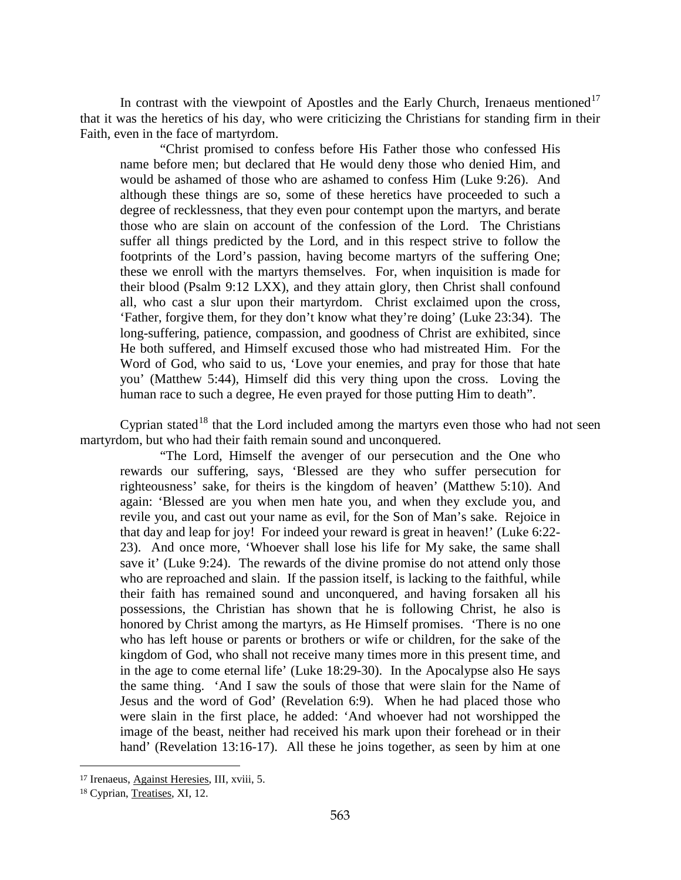In contrast with the viewpoint of Apostles and the Early Church, Irenaeus mentioned<sup>[17](#page-13-0)</sup> that it was the heretics of his day, who were criticizing the Christians for standing firm in their Faith, even in the face of martyrdom.

"Christ promised to confess before His Father those who confessed His name before men; but declared that He would deny those who denied Him, and would be ashamed of those who are ashamed to confess Him (Luke 9:26). And although these things are so, some of these heretics have proceeded to such a degree of recklessness, that they even pour contempt upon the martyrs, and berate those who are slain on account of the confession of the Lord. The Christians suffer all things predicted by the Lord, and in this respect strive to follow the footprints of the Lord's passion, having become martyrs of the suffering One; these we enroll with the martyrs themselves. For, when inquisition is made for their blood (Psalm 9:12 LXX), and they attain glory, then Christ shall confound all, who cast a slur upon their martyrdom. Christ exclaimed upon the cross, 'Father, forgive them, for they don't know what they're doing' (Luke 23:34). The long-suffering, patience, compassion, and goodness of Christ are exhibited, since He both suffered, and Himself excused those who had mistreated Him. For the Word of God, who said to us, 'Love your enemies, and pray for those that hate you' (Matthew 5:44), Himself did this very thing upon the cross. Loving the human race to such a degree, He even prayed for those putting Him to death".

Cyprian stated<sup>[18](#page-13-1)</sup> that the Lord included among the martyrs even those who had not seen martyrdom, but who had their faith remain sound and unconquered.

"The Lord, Himself the avenger of our persecution and the One who rewards our suffering, says, 'Blessed are they who suffer persecution for righteousness' sake, for theirs is the kingdom of heaven' (Matthew 5:10). And again: 'Blessed are you when men hate you, and when they exclude you, and revile you, and cast out your name as evil, for the Son of Man's sake. Rejoice in that day and leap for joy! For indeed your reward is great in heaven!' (Luke 6:22- 23). And once more, 'Whoever shall lose his life for My sake, the same shall save it' (Luke 9:24). The rewards of the divine promise do not attend only those who are reproached and slain. If the passion itself, is lacking to the faithful, while their faith has remained sound and unconquered, and having forsaken all his possessions, the Christian has shown that he is following Christ, he also is honored by Christ among the martyrs, as He Himself promises. 'There is no one who has left house or parents or brothers or wife or children, for the sake of the kingdom of God, who shall not receive many times more in this present time, and in the age to come eternal life' (Luke 18:29-30). In the Apocalypse also He says the same thing. 'And I saw the souls of those that were slain for the Name of Jesus and the word of God' (Revelation 6:9). When he had placed those who were slain in the first place, he added: 'And whoever had not worshipped the image of the beast, neither had received his mark upon their forehead or in their hand' (Revelation 13:16-17). All these he joins together, as seen by him at one

<span id="page-13-0"></span><sup>17</sup> Irenaeus, Against Heresies, III, xviii, 5.

<span id="page-13-1"></span><sup>18</sup> Cyprian, Treatises, XI, 12.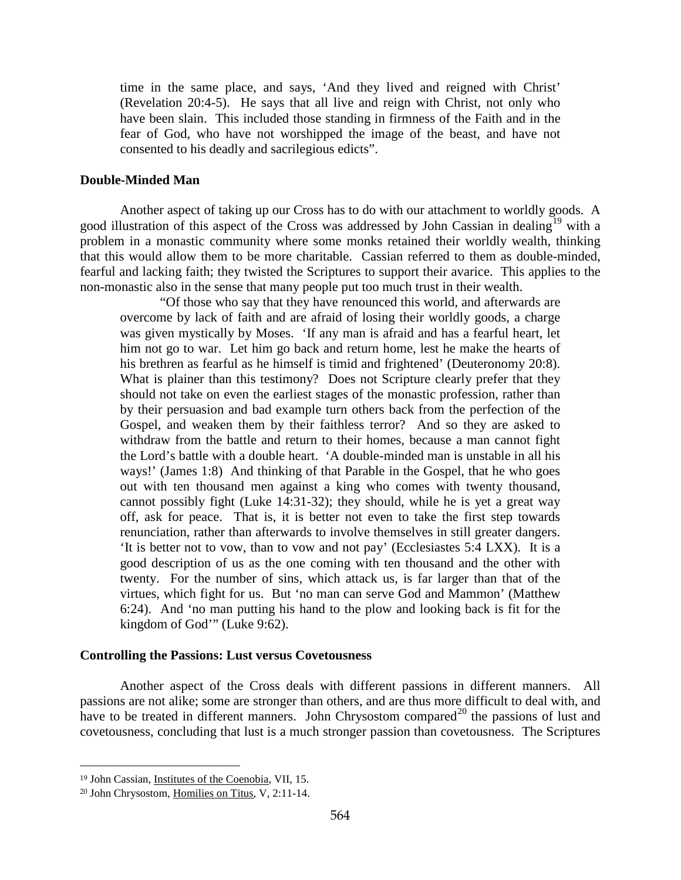time in the same place, and says, 'And they lived and reigned with Christ' (Revelation 20:4-5). He says that all live and reign with Christ, not only who have been slain. This included those standing in firmness of the Faith and in the fear of God, who have not worshipped the image of the beast, and have not consented to his deadly and sacrilegious edicts".

#### <span id="page-14-0"></span>**Double-Minded Man**

Another aspect of taking up our Cross has to do with our attachment to worldly goods. A good illustration of this aspect of the Cross was addressed by John Cassian in dealing<sup>[19](#page-14-2)</sup> with a problem in a monastic community where some monks retained their worldly wealth, thinking that this would allow them to be more charitable. Cassian referred to them as double-minded, fearful and lacking faith; they twisted the Scriptures to support their avarice. This applies to the non-monastic also in the sense that many people put too much trust in their wealth.

"Of those who say that they have renounced this world, and afterwards are overcome by lack of faith and are afraid of losing their worldly goods, a charge was given mystically by Moses. 'If any man is afraid and has a fearful heart, let him not go to war. Let him go back and return home, lest he make the hearts of his brethren as fearful as he himself is timid and frightened' (Deuteronomy 20:8). What is plainer than this testimony? Does not Scripture clearly prefer that they should not take on even the earliest stages of the monastic profession, rather than by their persuasion and bad example turn others back from the perfection of the Gospel, and weaken them by their faithless terror? And so they are asked to withdraw from the battle and return to their homes, because a man cannot fight the Lord's battle with a double heart. 'A double-minded man is unstable in all his ways!' (James 1:8) And thinking of that Parable in the Gospel, that he who goes out with ten thousand men against a king who comes with twenty thousand, cannot possibly fight (Luke 14:31-32); they should, while he is yet a great way off, ask for peace. That is, it is better not even to take the first step towards renunciation, rather than afterwards to involve themselves in still greater dangers. 'It is better not to vow, than to vow and not pay' (Ecclesiastes 5:4 LXX). It is a good description of us as the one coming with ten thousand and the other with twenty. For the number of sins, which attack us, is far larger than that of the virtues, which fight for us. But 'no man can serve God and Mammon' (Matthew 6:24). And 'no man putting his hand to the plow and looking back is fit for the kingdom of God'" (Luke 9:62).

#### <span id="page-14-1"></span>**Controlling the Passions: Lust versus Covetousness**

Another aspect of the Cross deals with different passions in different manners. All passions are not alike; some are stronger than others, and are thus more difficult to deal with, and have to be treated in different manners. John Chrysostom compared<sup>[20](#page-14-3)</sup> the passions of lust and covetousness, concluding that lust is a much stronger passion than covetousness. The Scriptures

<span id="page-14-2"></span><sup>19</sup> John Cassian, Institutes of the Coenobia, VII, 15.

<span id="page-14-3"></span><sup>20</sup> John Chrysostom, Homilies on Titus, V, 2:11-14.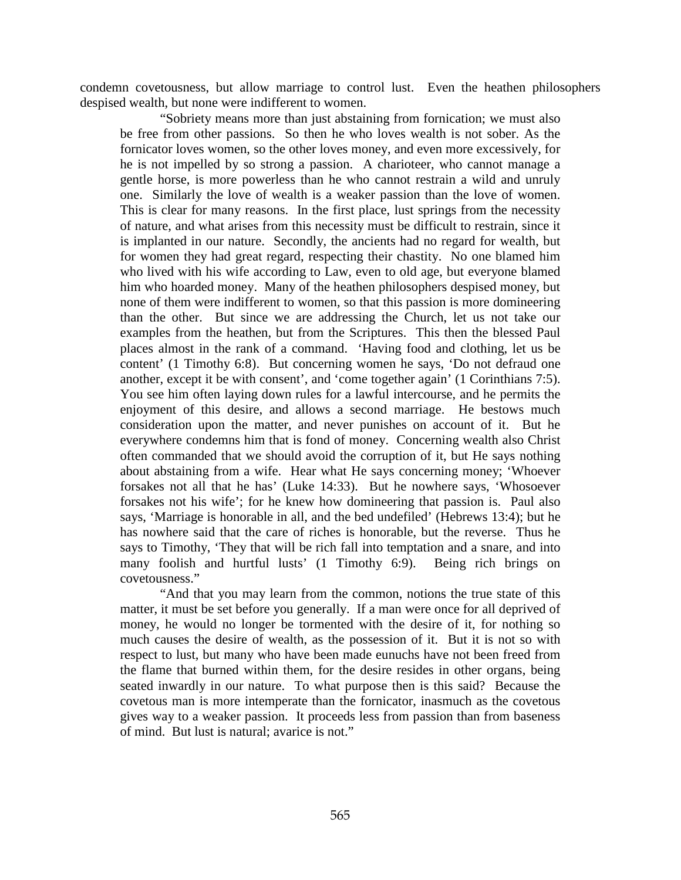condemn covetousness, but allow marriage to control lust. Even the heathen philosophers despised wealth, but none were indifferent to women.

"Sobriety means more than just abstaining from fornication; we must also be free from other passions. So then he who loves wealth is not sober. As the fornicator loves women, so the other loves money, and even more excessively, for he is not impelled by so strong a passion. A charioteer, who cannot manage a gentle horse, is more powerless than he who cannot restrain a wild and unruly one. Similarly the love of wealth is a weaker passion than the love of women. This is clear for many reasons. In the first place, lust springs from the necessity of nature, and what arises from this necessity must be difficult to restrain, since it is implanted in our nature. Secondly, the ancients had no regard for wealth, but for women they had great regard, respecting their chastity. No one blamed him who lived with his wife according to Law, even to old age, but everyone blamed him who hoarded money. Many of the heathen philosophers despised money, but none of them were indifferent to women, so that this passion is more domineering than the other. But since we are addressing the Church, let us not take our examples from the heathen, but from the Scriptures. This then the blessed Paul places almost in the rank of a command. 'Having food and clothing, let us be content' (1 Timothy 6:8). But concerning women he says, 'Do not defraud one another, except it be with consent', and 'come together again' (1 Corinthians 7:5). You see him often laying down rules for a lawful intercourse, and he permits the enjoyment of this desire, and allows a second marriage. He bestows much consideration upon the matter, and never punishes on account of it. But he everywhere condemns him that is fond of money. Concerning wealth also Christ often commanded that we should avoid the corruption of it, but He says nothing about abstaining from a wife. Hear what He says concerning money; 'Whoever forsakes not all that he has' (Luke 14:33). But he nowhere says, 'Whosoever forsakes not his wife'; for he knew how domineering that passion is. Paul also says, 'Marriage is honorable in all, and the bed undefiled' (Hebrews 13:4); but he has nowhere said that the care of riches is honorable, but the reverse. Thus he says to Timothy, 'They that will be rich fall into temptation and a snare, and into many foolish and hurtful lusts' (1 Timothy 6:9). Being rich brings on covetousness."

"And that you may learn from the common, notions the true state of this matter, it must be set before you generally. If a man were once for all deprived of money, he would no longer be tormented with the desire of it, for nothing so much causes the desire of wealth, as the possession of it. But it is not so with respect to lust, but many who have been made eunuchs have not been freed from the flame that burned within them, for the desire resides in other organs, being seated inwardly in our nature. To what purpose then is this said? Because the covetous man is more intemperate than the fornicator, inasmuch as the covetous gives way to a weaker passion. It proceeds less from passion than from baseness of mind. But lust is natural; avarice is not."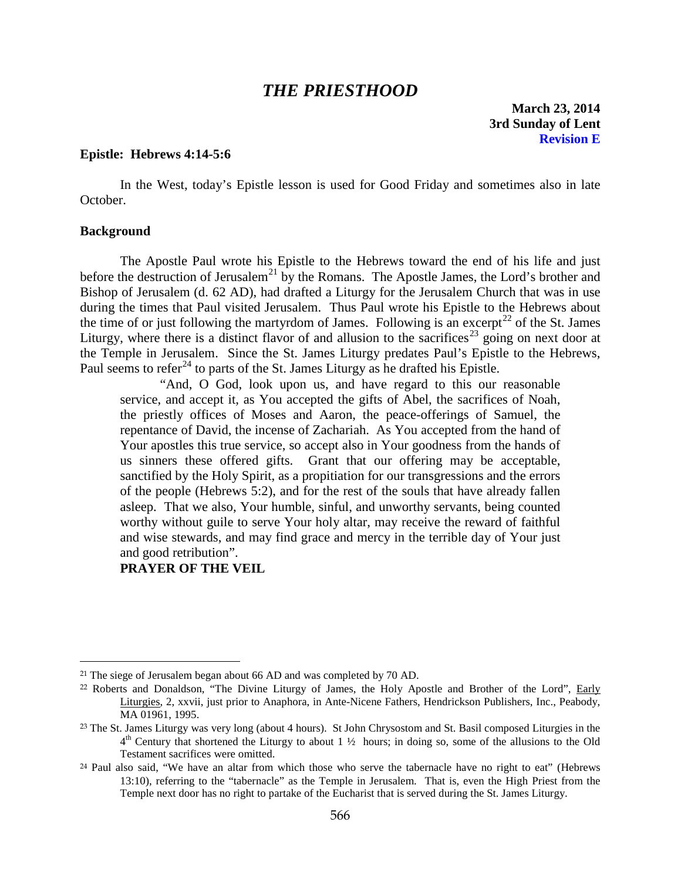## *THE PRIESTHOOD*

**March 23, 2014 3rd Sunday of Lent Revision E**

#### <span id="page-16-0"></span>**Epistle: Hebrews 4:14-5:6**

In the West, today's Epistle lesson is used for Good Friday and sometimes also in late October.

#### <span id="page-16-1"></span>**Background**

 $\overline{a}$ 

The Apostle Paul wrote his Epistle to the Hebrews toward the end of his life and just before the destruction of Jerusalem<sup>[21](#page-16-2)</sup> by the Romans. The Apostle James, the Lord's brother and Bishop of Jerusalem (d. 62 AD), had drafted a Liturgy for the Jerusalem Church that was in use during the times that Paul visited Jerusalem. Thus Paul wrote his Epistle to the Hebrews about the time of or just following the martyrdom of James. Following is an excerpt<sup>[22](#page-16-3)</sup> of the St. James Liturgy, where there is a distinct flavor of and allusion to the sacrifices<sup>[23](#page-16-4)</sup> going on next door at the Temple in Jerusalem. Since the St. James Liturgy predates Paul's Epistle to the Hebrews, Paul seems to refer<sup>[24](#page-16-5)</sup> to parts of the St. James Liturgy as he drafted his Epistle.

"And, O God, look upon us, and have regard to this our reasonable service, and accept it, as You accepted the gifts of Abel, the sacrifices of Noah, the priestly offices of Moses and Aaron, the peace-offerings of Samuel, the repentance of David, the incense of Zachariah. As You accepted from the hand of Your apostles this true service, so accept also in Your goodness from the hands of us sinners these offered gifts. Grant that our offering may be acceptable, sanctified by the Holy Spirit, as a propitiation for our transgressions and the errors of the people (Hebrews 5:2), and for the rest of the souls that have already fallen asleep. That we also, Your humble, sinful, and unworthy servants, being counted worthy without guile to serve Your holy altar, may receive the reward of faithful and wise stewards, and may find grace and mercy in the terrible day of Your just and good retribution".

### **PRAYER OF THE VEIL**

<span id="page-16-2"></span><sup>&</sup>lt;sup>21</sup> The siege of Jerusalem began about 66 AD and was completed by 70 AD.

<span id="page-16-3"></span><sup>22</sup> Roberts and Donaldson, "The Divine Liturgy of James, the Holy Apostle and Brother of the Lord", Early Liturgies, 2, xxvii, just prior to Anaphora, in Ante-Nicene Fathers, Hendrickson Publishers, Inc., Peabody, MA 01961, 1995.

<span id="page-16-4"></span><sup>&</sup>lt;sup>23</sup> The St. James Liturgy was very long (about 4 hours). St John Chrysostom and St. Basil composed Liturgies in the 4th Century that shortened the Liturgy to about 1 ½ hours; in doing so, some of the allusions to the Old Testament sacrifices were omitted.

<span id="page-16-5"></span><sup>24</sup> Paul also said, "We have an altar from which those who serve the tabernacle have no right to eat" (Hebrews 13:10), referring to the "tabernacle" as the Temple in Jerusalem. That is, even the High Priest from the Temple next door has no right to partake of the Eucharist that is served during the St. James Liturgy.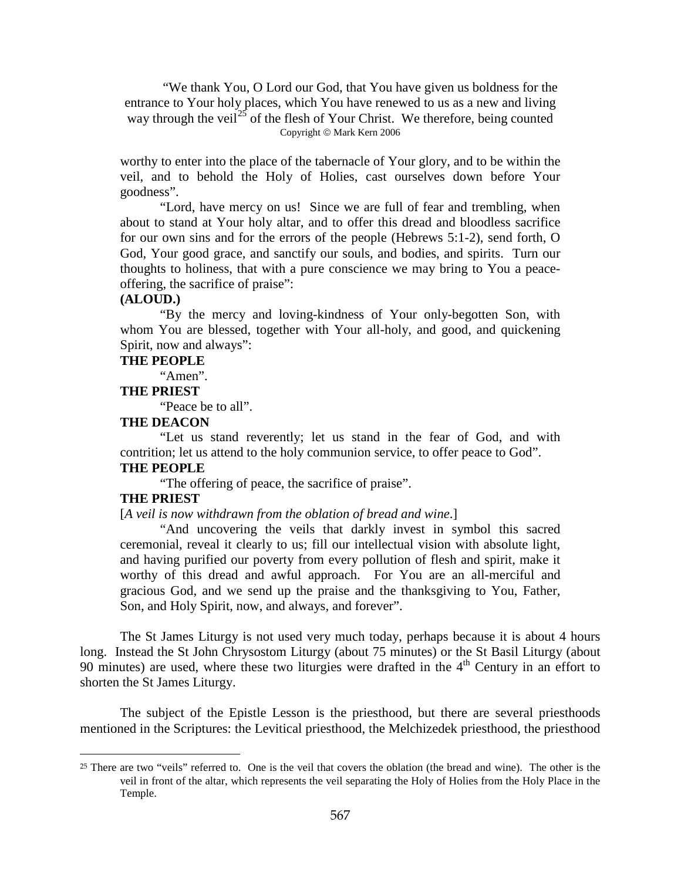"We thank You, O Lord our God, that You have given us boldness for the entrance to Your holy places, which You have renewed to us as a new and living way through the veil<sup>[25](#page-17-0)</sup> of the flesh of Your Christ. We therefore, being counted Copyright © Mark Kern 2006

worthy to enter into the place of the tabernacle of Your glory, and to be within the veil, and to behold the Holy of Holies, cast ourselves down before Your goodness".

"Lord, have mercy on us! Since we are full of fear and trembling, when about to stand at Your holy altar, and to offer this dread and bloodless sacrifice for our own sins and for the errors of the people (Hebrews 5:1-2), send forth, O God, Your good grace, and sanctify our souls, and bodies, and spirits. Turn our thoughts to holiness, that with a pure conscience we may bring to You a peaceoffering, the sacrifice of praise":

### **(ALOUD.)**

"By the mercy and loving-kindness of Your only-begotten Son, with whom You are blessed, together with Your all-holy, and good, and quickening Spirit, now and always":

### **THE PEOPLE**

"Amen".

### **THE PRIEST**

"Peace be to all".

### **THE DEACON**

"Let us stand reverently; let us stand in the fear of God, and with contrition; let us attend to the holy communion service, to offer peace to God".

## **THE PEOPLE**

"The offering of peace, the sacrifice of praise".

### **THE PRIEST**

 $\overline{a}$ 

[*A veil is now withdrawn from the oblation of bread and wine*.]

"And uncovering the veils that darkly invest in symbol this sacred ceremonial, reveal it clearly to us; fill our intellectual vision with absolute light, and having purified our poverty from every pollution of flesh and spirit, make it worthy of this dread and awful approach. For You are an all-merciful and gracious God, and we send up the praise and the thanksgiving to You, Father, Son, and Holy Spirit, now, and always, and forever".

The St James Liturgy is not used very much today, perhaps because it is about 4 hours long. Instead the St John Chrysostom Liturgy (about 75 minutes) or the St Basil Liturgy (about 90 minutes) are used, where these two liturgies were drafted in the  $4<sup>th</sup>$  Century in an effort to shorten the St James Liturgy.

The subject of the Epistle Lesson is the priesthood, but there are several priesthoods mentioned in the Scriptures: the Levitical priesthood, the Melchizedek priesthood, the priesthood

<span id="page-17-0"></span><sup>25</sup> There are two "veils" referred to. One is the veil that covers the oblation (the bread and wine). The other is the veil in front of the altar, which represents the veil separating the Holy of Holies from the Holy Place in the Temple.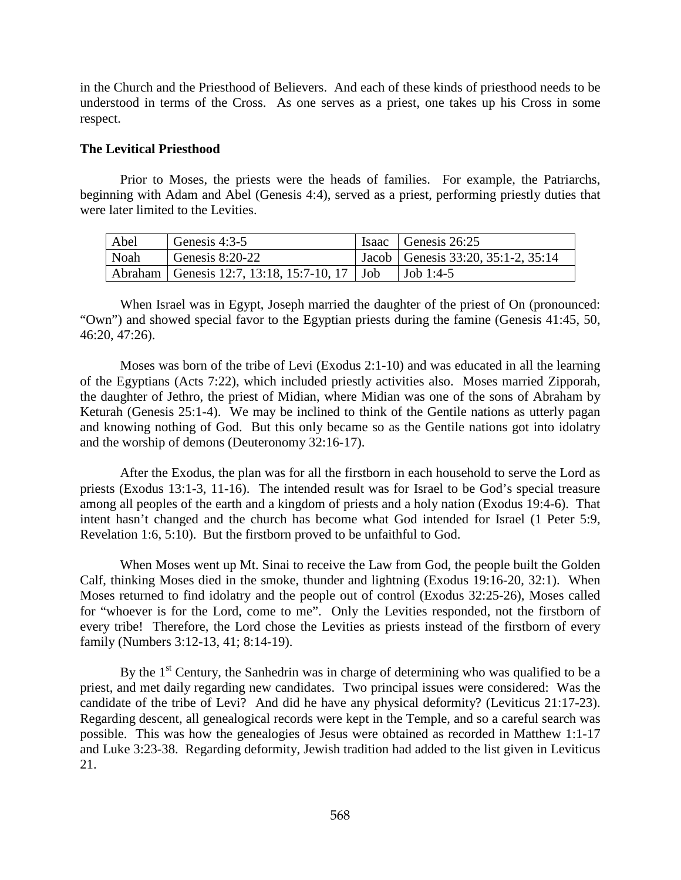in the Church and the Priesthood of Believers. And each of these kinds of priesthood needs to be understood in terms of the Cross. As one serves as a priest, one takes up his Cross in some respect.

### <span id="page-18-0"></span>**The Levitical Priesthood**

Prior to Moses, the priests were the heads of families. For example, the Patriarchs, beginning with Adam and Abel (Genesis 4:4), served as a priest, performing priestly duties that were later limited to the Levities.

| Abel | Genesis 4:3-5                                    | Isaac Genesis $26:25$                |
|------|--------------------------------------------------|--------------------------------------|
| Noah | Genesis $8:20-22$                                | Jacob   Genesis 33:20, 35:1-2, 35:14 |
|      | Abraham   Genesis 12:7, 13:18, 15:7-10, 17   Job | Job 1:4-5                            |

When Israel was in Egypt, Joseph married the daughter of the priest of On (pronounced: "Own") and showed special favor to the Egyptian priests during the famine (Genesis 41:45, 50, 46:20, 47:26).

Moses was born of the tribe of Levi (Exodus 2:1-10) and was educated in all the learning of the Egyptians (Acts 7:22), which included priestly activities also. Moses married Zipporah, the daughter of Jethro, the priest of Midian, where Midian was one of the sons of Abraham by Keturah (Genesis 25:1-4). We may be inclined to think of the Gentile nations as utterly pagan and knowing nothing of God. But this only became so as the Gentile nations got into idolatry and the worship of demons (Deuteronomy 32:16-17).

After the Exodus, the plan was for all the firstborn in each household to serve the Lord as priests (Exodus 13:1-3, 11-16). The intended result was for Israel to be God's special treasure among all peoples of the earth and a kingdom of priests and a holy nation (Exodus 19:4-6). That intent hasn't changed and the church has become what God intended for Israel (1 Peter 5:9, Revelation 1:6, 5:10). But the firstborn proved to be unfaithful to God.

When Moses went up Mt. Sinai to receive the Law from God, the people built the Golden Calf, thinking Moses died in the smoke, thunder and lightning (Exodus 19:16-20, 32:1). When Moses returned to find idolatry and the people out of control (Exodus 32:25-26), Moses called for "whoever is for the Lord, come to me". Only the Levities responded, not the firstborn of every tribe! Therefore, the Lord chose the Levities as priests instead of the firstborn of every family (Numbers 3:12-13, 41; 8:14-19).

By the  $1<sup>st</sup>$  Century, the Sanhedrin was in charge of determining who was qualified to be a priest, and met daily regarding new candidates. Two principal issues were considered: Was the candidate of the tribe of Levi? And did he have any physical deformity? (Leviticus 21:17-23). Regarding descent, all genealogical records were kept in the Temple, and so a careful search was possible. This was how the genealogies of Jesus were obtained as recorded in Matthew 1:1-17 and Luke 3:23-38. Regarding deformity, Jewish tradition had added to the list given in Leviticus 21.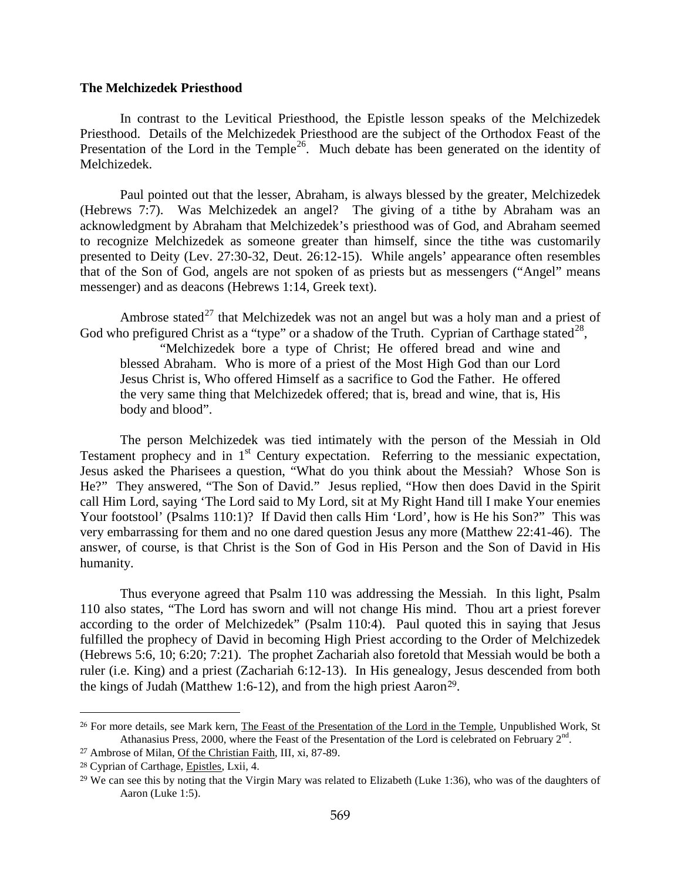#### <span id="page-19-0"></span>**The Melchizedek Priesthood**

In contrast to the Levitical Priesthood, the Epistle lesson speaks of the Melchizedek Priesthood. Details of the Melchizedek Priesthood are the subject of the Orthodox Feast of the Presentation of the Lord in the Temple<sup>[26](#page-19-1)</sup>. Much debate has been generated on the identity of Melchizedek.

Paul pointed out that the lesser, Abraham, is always blessed by the greater, Melchizedek (Hebrews 7:7). Was Melchizedek an angel? The giving of a tithe by Abraham was an acknowledgment by Abraham that Melchizedek's priesthood was of God, and Abraham seemed to recognize Melchizedek as someone greater than himself, since the tithe was customarily presented to Deity (Lev. 27:30-32, Deut. 26:12-15). While angels' appearance often resembles that of the Son of God, angels are not spoken of as priests but as messengers ("Angel" means messenger) and as deacons (Hebrews 1:14, Greek text).

Ambrose stated<sup>[27](#page-19-2)</sup> that Melchizedek was not an angel but was a holy man and a priest of God who prefigured Christ as a "type" or a shadow of the Truth. Cyprian of Carthage stated<sup>[28](#page-19-3)</sup>,

"Melchizedek bore a type of Christ; He offered bread and wine and blessed Abraham. Who is more of a priest of the Most High God than our Lord Jesus Christ is, Who offered Himself as a sacrifice to God the Father. He offered the very same thing that Melchizedek offered; that is, bread and wine, that is, His body and blood".

The person Melchizedek was tied intimately with the person of the Messiah in Old Testament prophecy and in  $1<sup>st</sup>$  Century expectation. Referring to the messianic expectation, Jesus asked the Pharisees a question, "What do you think about the Messiah? Whose Son is He?" They answered, "The Son of David." Jesus replied, "How then does David in the Spirit call Him Lord, saying 'The Lord said to My Lord, sit at My Right Hand till I make Your enemies Your footstool' (Psalms 110:1)? If David then calls Him 'Lord', how is He his Son?" This was very embarrassing for them and no one dared question Jesus any more (Matthew 22:41-46). The answer, of course, is that Christ is the Son of God in His Person and the Son of David in His humanity.

Thus everyone agreed that Psalm 110 was addressing the Messiah. In this light, Psalm 110 also states, "The Lord has sworn and will not change His mind. Thou art a priest forever according to the order of Melchizedek" (Psalm 110:4). Paul quoted this in saying that Jesus fulfilled the prophecy of David in becoming High Priest according to the Order of Melchizedek (Hebrews 5:6, 10; 6:20; 7:21). The prophet Zachariah also foretold that Messiah would be both a ruler (i.e. King) and a priest (Zachariah 6:12-13). In His genealogy, Jesus descended from both the kings of Judah (Matthew 1:6-12), and from the high priest Aaron[29](#page-19-4).

<span id="page-19-1"></span><sup>&</sup>lt;sup>26</sup> For more details, see Mark kern, *The Feast of the Presentation of the Lord in the Temple*, Unpublished Work, St Athanasius Press, 2000, where the Feast of the Presentation of the Lord is celebrated on February 2<sup>nd</sup>.

<span id="page-19-2"></span><sup>27</sup> Ambrose of Milan, Of the Christian Faith, III, xi, 87-89.

<span id="page-19-3"></span><sup>28</sup> Cyprian of Carthage, Epistles, Lxii, 4.

<span id="page-19-4"></span><sup>&</sup>lt;sup>29</sup> We can see this by noting that the Virgin Mary was related to Elizabeth (Luke 1:36), who was of the daughters of Aaron (Luke 1:5).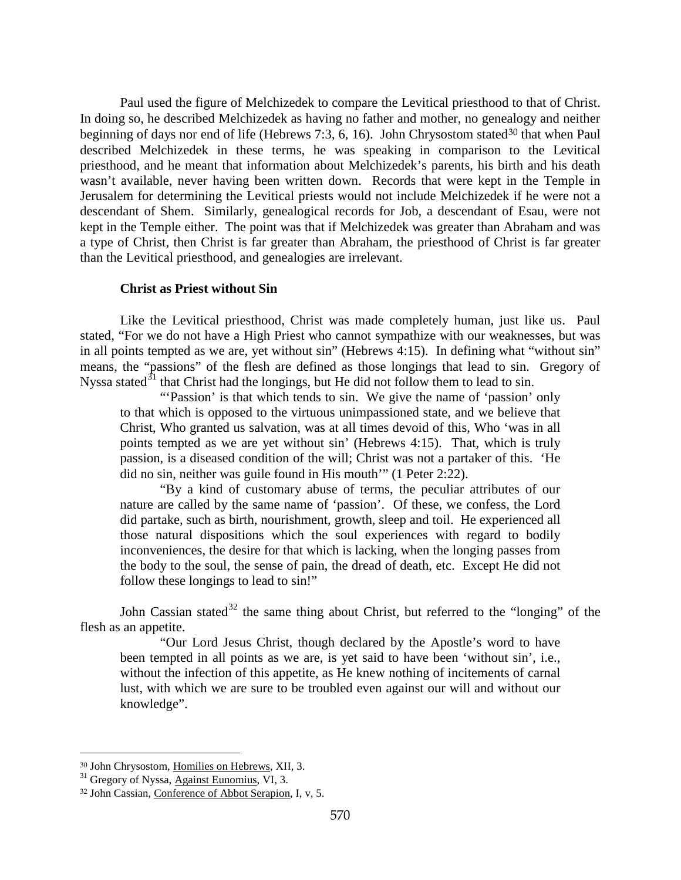Paul used the figure of Melchizedek to compare the Levitical priesthood to that of Christ. In doing so, he described Melchizedek as having no father and mother, no genealogy and neither beginning of days nor end of life (Hebrews 7:3, 6, 16). John Chrysostom stated<sup>[30](#page-20-1)</sup> that when Paul described Melchizedek in these terms, he was speaking in comparison to the Levitical priesthood, and he meant that information about Melchizedek's parents, his birth and his death wasn't available, never having been written down. Records that were kept in the Temple in Jerusalem for determining the Levitical priests would not include Melchizedek if he were not a descendant of Shem. Similarly, genealogical records for Job, a descendant of Esau, were not kept in the Temple either. The point was that if Melchizedek was greater than Abraham and was a type of Christ, then Christ is far greater than Abraham, the priesthood of Christ is far greater than the Levitical priesthood, and genealogies are irrelevant.

### **Christ as Priest without Sin**

<span id="page-20-0"></span>Like the Levitical priesthood, Christ was made completely human, just like us. Paul stated, "For we do not have a High Priest who cannot sympathize with our weaknesses, but was in all points tempted as we are, yet without sin" (Hebrews 4:15). In defining what "without sin" means, the "passions" of the flesh are defined as those longings that lead to sin. Gregory of Nyssa stated<sup>[31](#page-20-2)</sup> that Christ had the longings, but He did not follow them to lead to sin.

"'Passion' is that which tends to sin. We give the name of 'passion' only to that which is opposed to the virtuous unimpassioned state, and we believe that Christ, Who granted us salvation, was at all times devoid of this, Who 'was in all points tempted as we are yet without sin' (Hebrews 4:15). That, which is truly passion, is a diseased condition of the will; Christ was not a partaker of this. 'He did no sin, neither was guile found in His mouth'" (1 Peter 2:22).

"By a kind of customary abuse of terms, the peculiar attributes of our nature are called by the same name of 'passion'. Of these, we confess, the Lord did partake, such as birth, nourishment, growth, sleep and toil. He experienced all those natural dispositions which the soul experiences with regard to bodily inconveniences, the desire for that which is lacking, when the longing passes from the body to the soul, the sense of pain, the dread of death, etc. Except He did not follow these longings to lead to sin!"

John Cassian stated<sup>[32](#page-20-3)</sup> the same thing about Christ, but referred to the "longing" of the flesh as an appetite.

"Our Lord Jesus Christ, though declared by the Apostle's word to have been tempted in all points as we are, is yet said to have been 'without sin', i.e., without the infection of this appetite, as He knew nothing of incitements of carnal lust, with which we are sure to be troubled even against our will and without our knowledge".

<span id="page-20-1"></span><sup>30</sup> John Chrysostom, Homilies on Hebrews, XII, 3.

<span id="page-20-2"></span><sup>&</sup>lt;sup>31</sup> Gregory of Nyssa, Against Eunomius, VI, 3.

<span id="page-20-3"></span><sup>32</sup> John Cassian, Conference of Abbot Serapion, I, v, 5.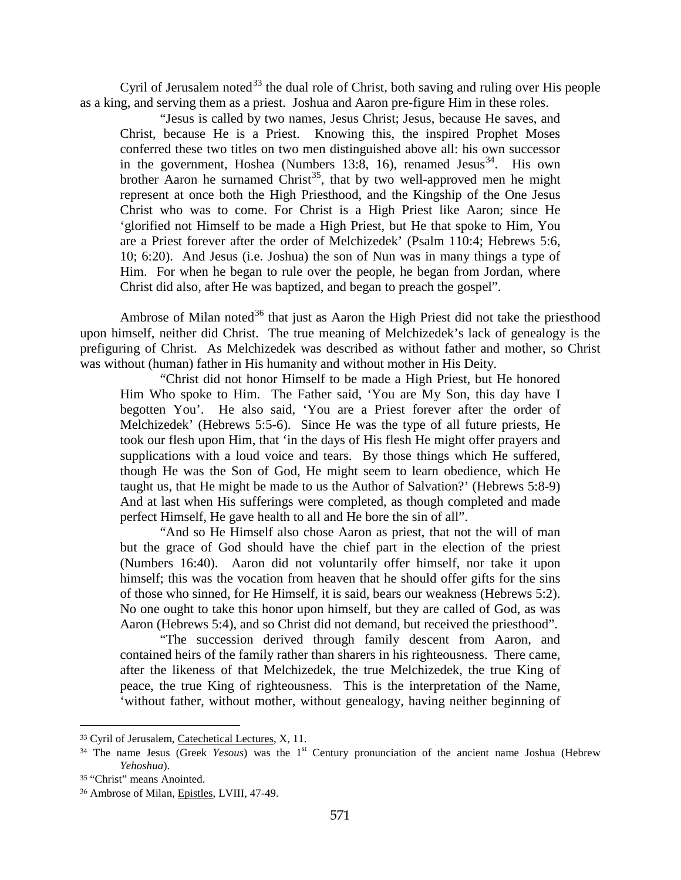Cyril of Jerusalem noted<sup>[33](#page-21-0)</sup> the dual role of Christ, both saving and ruling over His people as a king, and serving them as a priest. Joshua and Aaron pre-figure Him in these roles.

"Jesus is called by two names, Jesus Christ; Jesus, because He saves, and Christ, because He is a Priest. Knowing this, the inspired Prophet Moses conferred these two titles on two men distinguished above all: his own successor in the government, Hoshea (Numbers 13:8, 16), renamed Jesus<sup>34</sup>. His own brother Aaron he surnamed Christ<sup>35</sup>, that by two well-approved men he might represent at once both the High Priesthood, and the Kingship of the One Jesus Christ who was to come. For Christ is a High Priest like Aaron; since He 'glorified not Himself to be made a High Priest, but He that spoke to Him, You are a Priest forever after the order of Melchizedek' (Psalm 110:4; Hebrews 5:6, 10; 6:20). And Jesus (i.e. Joshua) the son of Nun was in many things a type of Him. For when he began to rule over the people, he began from Jordan, where Christ did also, after He was baptized, and began to preach the gospel".

Ambrose of Milan noted $36$  that just as Aaron the High Priest did not take the priesthood upon himself, neither did Christ. The true meaning of Melchizedek's lack of genealogy is the prefiguring of Christ. As Melchizedek was described as without father and mother, so Christ was without (human) father in His humanity and without mother in His Deity.

"Christ did not honor Himself to be made a High Priest, but He honored Him Who spoke to Him. The Father said, 'You are My Son, this day have I begotten You'. He also said, 'You are a Priest forever after the order of Melchizedek' (Hebrews 5:5-6). Since He was the type of all future priests, He took our flesh upon Him, that 'in the days of His flesh He might offer prayers and supplications with a loud voice and tears. By those things which He suffered, though He was the Son of God, He might seem to learn obedience, which He taught us, that He might be made to us the Author of Salvation?' (Hebrews 5:8-9) And at last when His sufferings were completed, as though completed and made perfect Himself, He gave health to all and He bore the sin of all".

"And so He Himself also chose Aaron as priest, that not the will of man but the grace of God should have the chief part in the election of the priest (Numbers 16:40). Aaron did not voluntarily offer himself, nor take it upon himself; this was the vocation from heaven that he should offer gifts for the sins of those who sinned, for He Himself, it is said, bears our weakness (Hebrews 5:2). No one ought to take this honor upon himself, but they are called of God, as was Aaron (Hebrews 5:4), and so Christ did not demand, but received the priesthood".

"The succession derived through family descent from Aaron, and contained heirs of the family rather than sharers in his righteousness. There came, after the likeness of that Melchizedek, the true Melchizedek, the true King of peace, the true King of righteousness. This is the interpretation of the Name, 'without father, without mother, without genealogy, having neither beginning of

<span id="page-21-0"></span><sup>33</sup> Cyril of Jerusalem, Catechetical Lectures, X, 11.

<span id="page-21-1"></span><sup>&</sup>lt;sup>34</sup> The name Jesus (Greek *Yesous*) was the 1<sup>st</sup> Century pronunciation of the ancient name Joshua (Hebrew *Yehoshua*).

<span id="page-21-2"></span><sup>35</sup> "Christ" means Anointed.

<span id="page-21-3"></span><sup>36</sup> Ambrose of Milan, Epistles, LVIII, 47-49.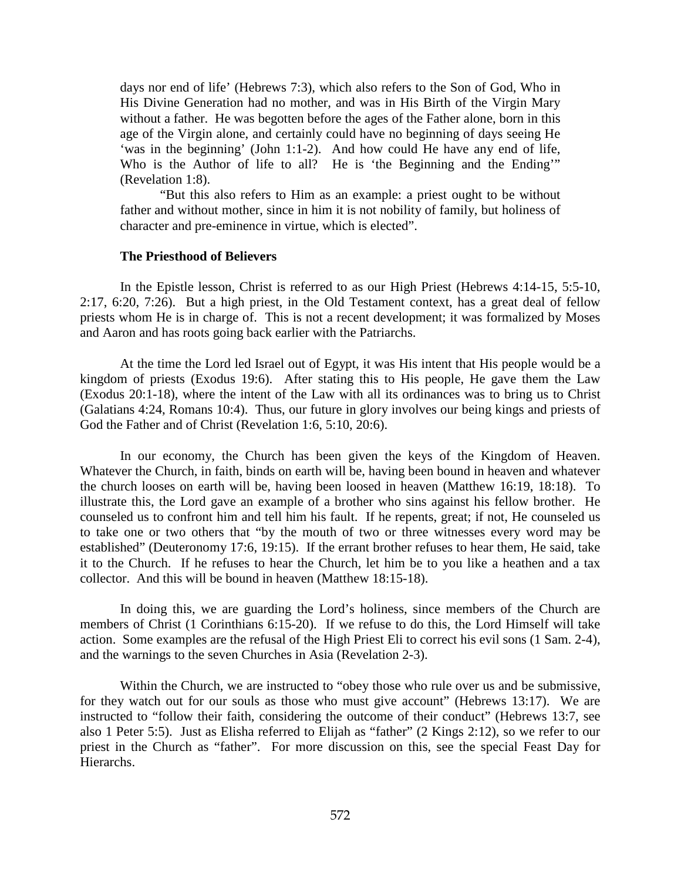days nor end of life' (Hebrews 7:3), which also refers to the Son of God, Who in His Divine Generation had no mother, and was in His Birth of the Virgin Mary without a father. He was begotten before the ages of the Father alone, born in this age of the Virgin alone, and certainly could have no beginning of days seeing He 'was in the beginning' (John 1:1-2). And how could He have any end of life, Who is the Author of life to all? He is 'the Beginning and the Ending'" (Revelation 1:8).

"But this also refers to Him as an example: a priest ought to be without father and without mother, since in him it is not nobility of family, but holiness of character and pre-eminence in virtue, which is elected".

### **The Priesthood of Believers**

<span id="page-22-0"></span>In the Epistle lesson, Christ is referred to as our High Priest (Hebrews 4:14-15, 5:5-10, 2:17, 6:20, 7:26). But a high priest, in the Old Testament context, has a great deal of fellow priests whom He is in charge of. This is not a recent development; it was formalized by Moses and Aaron and has roots going back earlier with the Patriarchs.

At the time the Lord led Israel out of Egypt, it was His intent that His people would be a kingdom of priests (Exodus 19:6). After stating this to His people, He gave them the Law (Exodus 20:1-18), where the intent of the Law with all its ordinances was to bring us to Christ (Galatians 4:24, Romans 10:4). Thus, our future in glory involves our being kings and priests of God the Father and of Christ (Revelation 1:6, 5:10, 20:6).

In our economy, the Church has been given the keys of the Kingdom of Heaven. Whatever the Church, in faith, binds on earth will be, having been bound in heaven and whatever the church looses on earth will be, having been loosed in heaven (Matthew 16:19, 18:18). To illustrate this, the Lord gave an example of a brother who sins against his fellow brother. He counseled us to confront him and tell him his fault. If he repents, great; if not, He counseled us to take one or two others that "by the mouth of two or three witnesses every word may be established" (Deuteronomy 17:6, 19:15). If the errant brother refuses to hear them, He said, take it to the Church. If he refuses to hear the Church, let him be to you like a heathen and a tax collector. And this will be bound in heaven (Matthew 18:15-18).

In doing this, we are guarding the Lord's holiness, since members of the Church are members of Christ (1 Corinthians 6:15-20). If we refuse to do this, the Lord Himself will take action. Some examples are the refusal of the High Priest Eli to correct his evil sons (1 Sam. 2-4), and the warnings to the seven Churches in Asia (Revelation 2-3).

Within the Church, we are instructed to "obey those who rule over us and be submissive, for they watch out for our souls as those who must give account" (Hebrews 13:17). We are instructed to "follow their faith, considering the outcome of their conduct" (Hebrews 13:7, see also 1 Peter 5:5). Just as Elisha referred to Elijah as "father" (2 Kings 2:12), so we refer to our priest in the Church as "father". For more discussion on this, see the special Feast Day for Hierarchs.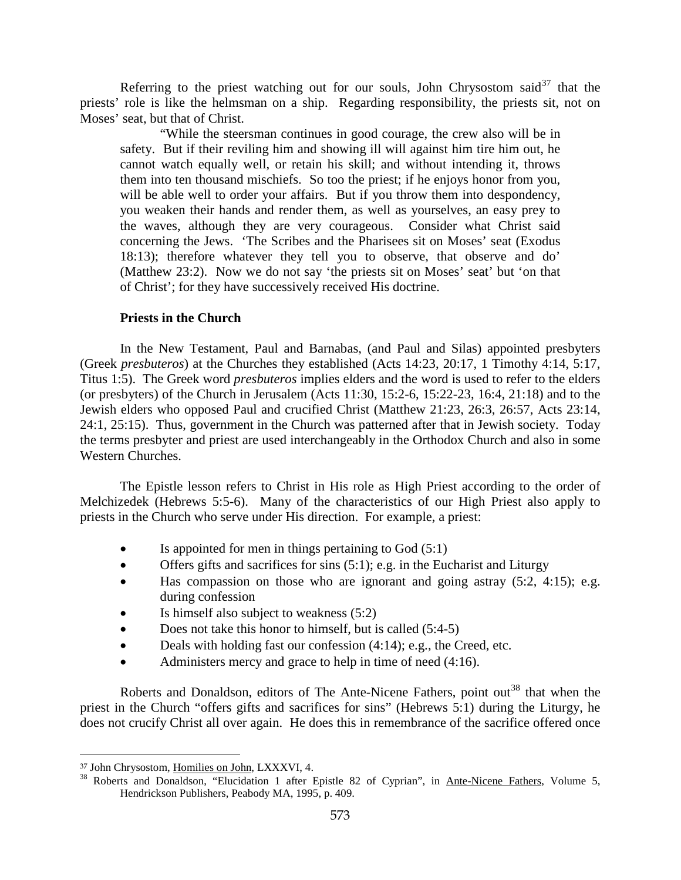Referring to the priest watching out for our souls, John Chrysostom said  $37$  that the priests' role is like the helmsman on a ship. Regarding responsibility, the priests sit, not on Moses' seat, but that of Christ.

"While the steersman continues in good courage, the crew also will be in safety. But if their reviling him and showing ill will against him tire him out, he cannot watch equally well, or retain his skill; and without intending it, throws them into ten thousand mischiefs. So too the priest; if he enjoys honor from you, will be able well to order your affairs. But if you throw them into despondency, you weaken their hands and render them, as well as yourselves, an easy prey to the waves, although they are very courageous. Consider what Christ said concerning the Jews. 'The Scribes and the Pharisees sit on Moses' seat (Exodus 18:13); therefore whatever they tell you to observe, that observe and do' (Matthew 23:2). Now we do not say 'the priests sit on Moses' seat' but 'on that of Christ'; for they have successively received His doctrine.

#### **Priests in the Church**

<span id="page-23-0"></span>In the New Testament, Paul and Barnabas, (and Paul and Silas) appointed presbyters (Greek *presbuteros*) at the Churches they established (Acts 14:23, 20:17, 1 Timothy 4:14, 5:17, Titus 1:5). The Greek word *presbuteros* implies elders and the word is used to refer to the elders (or presbyters) of the Church in Jerusalem (Acts 11:30, 15:2-6, 15:22-23, 16:4, 21:18) and to the Jewish elders who opposed Paul and crucified Christ (Matthew 21:23, 26:3, 26:57, Acts 23:14, 24:1, 25:15). Thus, government in the Church was patterned after that in Jewish society. Today the terms presbyter and priest are used interchangeably in the Orthodox Church and also in some Western Churches.

The Epistle lesson refers to Christ in His role as High Priest according to the order of Melchizedek (Hebrews 5:5-6). Many of the characteristics of our High Priest also apply to priests in the Church who serve under His direction. For example, a priest:

- Is appointed for men in things pertaining to God (5:1)
- Offers gifts and sacrifices for sins  $(5:1)$ ; e.g. in the Eucharist and Liturgy
- Has compassion on those who are ignorant and going astray (5:2, 4:15); e.g. during confession
- Is himself also subject to weakness  $(5:2)$
- Does not take this honor to himself, but is called (5:4-5)
- Deals with holding fast our confession (4:14); e.g., the Creed, etc.
- Administers mercy and grace to help in time of need (4:16).

Roberts and Donaldson, editors of The Ante-Nicene Fathers, point out<sup>[38](#page-23-2)</sup> that when the priest in the Church "offers gifts and sacrifices for sins" (Hebrews 5:1) during the Liturgy, he does not crucify Christ all over again. He does this in remembrance of the sacrifice offered once

<span id="page-23-2"></span><span id="page-23-1"></span><sup>&</sup>lt;sup>37</sup> John Chrysostom, <u>Homilies on John</u>, LXXXVI, 4.<br><sup>38</sup> Roberts and Donaldson, "Elucidation 1 after Epistle 82 of Cyprian", in <u>Ante-Nicene Fathers</u>, Volume 5, Hendrickson Publishers, Peabody MA, 1995, p. 409.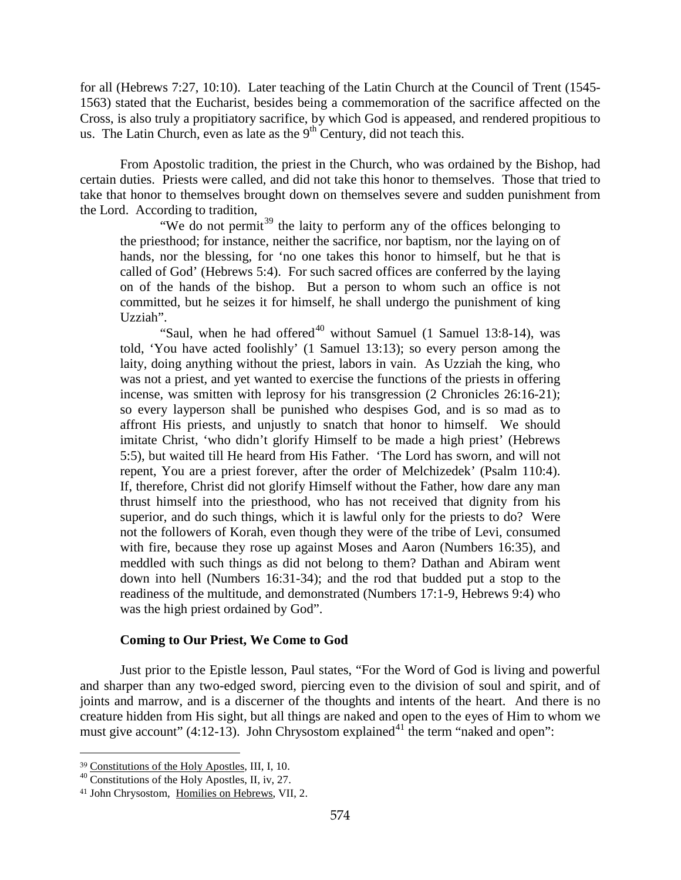for all (Hebrews 7:27, 10:10). Later teaching of the Latin Church at the Council of Trent (1545- 1563) stated that the Eucharist, besides being a commemoration of the sacrifice affected on the Cross, is also truly a propitiatory sacrifice, by which God is appeased, and rendered propitious to us. The Latin Church, even as late as the  $9<sup>th</sup>$  Century, did not teach this.

From Apostolic tradition, the priest in the Church, who was ordained by the Bishop, had certain duties. Priests were called, and did not take this honor to themselves. Those that tried to take that honor to themselves brought down on themselves severe and sudden punishment from the Lord. According to tradition,

"We do not permit<sup>[39](#page-24-1)</sup> the laity to perform any of the offices belonging to the priesthood; for instance, neither the sacrifice, nor baptism, nor the laying on of hands, nor the blessing, for 'no one takes this honor to himself, but he that is called of God' (Hebrews 5:4). For such sacred offices are conferred by the laying on of the hands of the bishop. But a person to whom such an office is not committed, but he seizes it for himself, he shall undergo the punishment of king Uzziah".

"Saul, when he had offered $40$  without Samuel (1 Samuel 13:8-14), was told, 'You have acted foolishly' (1 Samuel 13:13); so every person among the laity, doing anything without the priest, labors in vain. As Uzziah the king, who was not a priest, and yet wanted to exercise the functions of the priests in offering incense, was smitten with leprosy for his transgression (2 Chronicles 26:16-21); so every layperson shall be punished who despises God, and is so mad as to affront His priests, and unjustly to snatch that honor to himself. We should imitate Christ, 'who didn't glorify Himself to be made a high priest' (Hebrews 5:5), but waited till He heard from His Father. 'The Lord has sworn, and will not repent, You are a priest forever, after the order of Melchizedek' (Psalm 110:4). If, therefore, Christ did not glorify Himself without the Father, how dare any man thrust himself into the priesthood, who has not received that dignity from his superior, and do such things, which it is lawful only for the priests to do? Were not the followers of Korah, even though they were of the tribe of Levi, consumed with fire, because they rose up against Moses and Aaron (Numbers 16:35), and meddled with such things as did not belong to them? Dathan and Abiram went down into hell (Numbers 16:31-34); and the rod that budded put a stop to the readiness of the multitude, and demonstrated (Numbers 17:1-9, Hebrews 9:4) who was the high priest ordained by God".

### **Coming to Our Priest, We Come to God**

<span id="page-24-0"></span>Just prior to the Epistle lesson, Paul states, "For the Word of God is living and powerful and sharper than any two-edged sword, piercing even to the division of soul and spirit, and of joints and marrow, and is a discerner of the thoughts and intents of the heart. And there is no creature hidden from His sight, but all things are naked and open to the eyes of Him to whom we must give account"  $(4:12-13)$ . John Chrysostom explained<sup>[41](#page-24-3)</sup> the term "naked and open":

<span id="page-24-1"></span><sup>39</sup> Constitutions of the Holy Apostles, III, I, 10.

<span id="page-24-2"></span> $40\overline{\text{Constraints}}$  of the Holy Apostles, II, iv, 27.

<span id="page-24-3"></span><sup>41</sup> John Chrysostom, Homilies on Hebrews, VII, 2.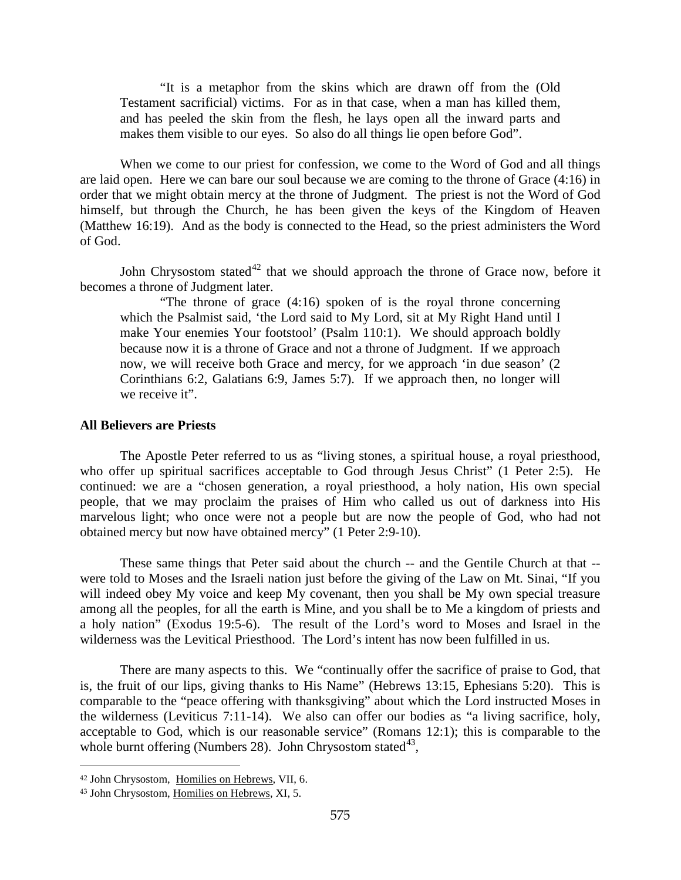"It is a metaphor from the skins which are drawn off from the (Old Testament sacrificial) victims. For as in that case, when a man has killed them, and has peeled the skin from the flesh, he lays open all the inward parts and makes them visible to our eyes. So also do all things lie open before God".

When we come to our priest for confession, we come to the Word of God and all things are laid open. Here we can bare our soul because we are coming to the throne of Grace (4:16) in order that we might obtain mercy at the throne of Judgment. The priest is not the Word of God himself, but through the Church, he has been given the keys of the Kingdom of Heaven (Matthew 16:19). And as the body is connected to the Head, so the priest administers the Word of God.

John Chrysostom stated<sup>[42](#page-25-1)</sup> that we should approach the throne of Grace now, before it becomes a throne of Judgment later.

"The throne of grace (4:16) spoken of is the royal throne concerning which the Psalmist said, 'the Lord said to My Lord, sit at My Right Hand until I make Your enemies Your footstool' (Psalm 110:1). We should approach boldly because now it is a throne of Grace and not a throne of Judgment. If we approach now, we will receive both Grace and mercy, for we approach 'in due season' (2 Corinthians 6:2, Galatians 6:9, James 5:7). If we approach then, no longer will we receive it".

#### <span id="page-25-0"></span>**All Believers are Priests**

The Apostle Peter referred to us as "living stones, a spiritual house, a royal priesthood, who offer up spiritual sacrifices acceptable to God through Jesus Christ" (1 Peter 2:5). He continued: we are a "chosen generation, a royal priesthood, a holy nation, His own special people, that we may proclaim the praises of Him who called us out of darkness into His marvelous light; who once were not a people but are now the people of God, who had not obtained mercy but now have obtained mercy" (1 Peter 2:9-10).

These same things that Peter said about the church -- and the Gentile Church at that - were told to Moses and the Israeli nation just before the giving of the Law on Mt. Sinai, "If you will indeed obey My voice and keep My covenant, then you shall be My own special treasure among all the peoples, for all the earth is Mine, and you shall be to Me a kingdom of priests and a holy nation" (Exodus 19:5-6). The result of the Lord's word to Moses and Israel in the wilderness was the Levitical Priesthood. The Lord's intent has now been fulfilled in us.

There are many aspects to this. We "continually offer the sacrifice of praise to God, that is, the fruit of our lips, giving thanks to His Name" (Hebrews 13:15, Ephesians 5:20). This is comparable to the "peace offering with thanksgiving" about which the Lord instructed Moses in the wilderness (Leviticus 7:11-14). We also can offer our bodies as "a living sacrifice, holy, acceptable to God, which is our reasonable service" (Romans 12:1); this is comparable to the whole burnt offering (Numbers 28). John Chrysostom stated $43$ ,

<span id="page-25-1"></span><sup>42</sup> John Chrysostom, Homilies on Hebrews, VII, 6.

<span id="page-25-2"></span><sup>43</sup> John Chrysostom, Homilies on Hebrews, XI, 5.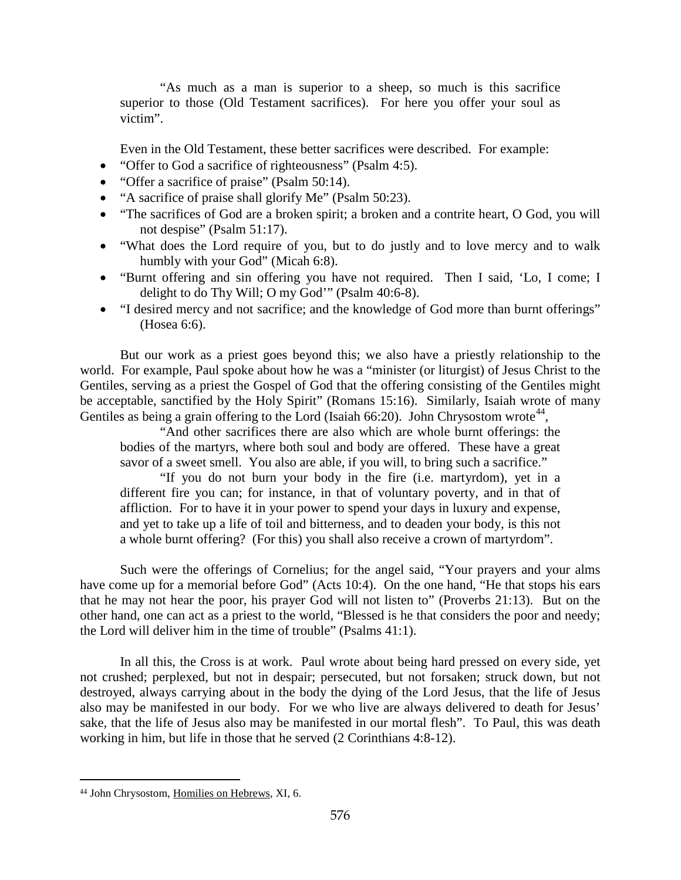"As much as a man is superior to a sheep, so much is this sacrifice superior to those (Old Testament sacrifices). For here you offer your soul as victim".

Even in the Old Testament, these better sacrifices were described. For example:

- "Offer to God a sacrifice of righteousness" (Psalm 4:5).
- "Offer a sacrifice of praise" (Psalm 50:14).
- "A sacrifice of praise shall glorify Me" (Psalm 50:23).
- "The sacrifices of God are a broken spirit; a broken and a contrite heart, O God, you will not despise" (Psalm 51:17).
- "What does the Lord require of you, but to do justly and to love mercy and to walk humbly with your God" (Micah 6:8).
- "Burnt offering and sin offering you have not required. Then I said, 'Lo, I come; I delight to do Thy Will; O my God'" (Psalm 40:6-8).
- "I desired mercy and not sacrifice; and the knowledge of God more than burnt offerings" (Hosea 6:6).

But our work as a priest goes beyond this; we also have a priestly relationship to the world. For example, Paul spoke about how he was a "minister (or liturgist) of Jesus Christ to the Gentiles, serving as a priest the Gospel of God that the offering consisting of the Gentiles might be acceptable, sanctified by the Holy Spirit" (Romans 15:16). Similarly, Isaiah wrote of many Gentiles as being a grain offering to the Lord (Isaiah  $66:20$ ). John Chrysostom wrote<sup>[44](#page-26-0)</sup>,

"And other sacrifices there are also which are whole burnt offerings: the bodies of the martyrs, where both soul and body are offered. These have a great savor of a sweet smell. You also are able, if you will, to bring such a sacrifice."

"If you do not burn your body in the fire (i.e. martyrdom), yet in a different fire you can; for instance, in that of voluntary poverty, and in that of affliction. For to have it in your power to spend your days in luxury and expense, and yet to take up a life of toil and bitterness, and to deaden your body, is this not a whole burnt offering? (For this) you shall also receive a crown of martyrdom".

Such were the offerings of Cornelius; for the angel said, "Your prayers and your alms have come up for a memorial before God" (Acts 10:4). On the one hand, "He that stops his ears that he may not hear the poor, his prayer God will not listen to" (Proverbs 21:13). But on the other hand, one can act as a priest to the world, "Blessed is he that considers the poor and needy; the Lord will deliver him in the time of trouble" (Psalms 41:1).

In all this, the Cross is at work. Paul wrote about being hard pressed on every side, yet not crushed; perplexed, but not in despair; persecuted, but not forsaken; struck down, but not destroyed, always carrying about in the body the dying of the Lord Jesus, that the life of Jesus also may be manifested in our body. For we who live are always delivered to death for Jesus' sake, that the life of Jesus also may be manifested in our mortal flesh". To Paul, this was death working in him, but life in those that he served (2 Corinthians 4:8-12).

<span id="page-26-0"></span><sup>44</sup> John Chrysostom, Homilies on Hebrews, XI, 6.